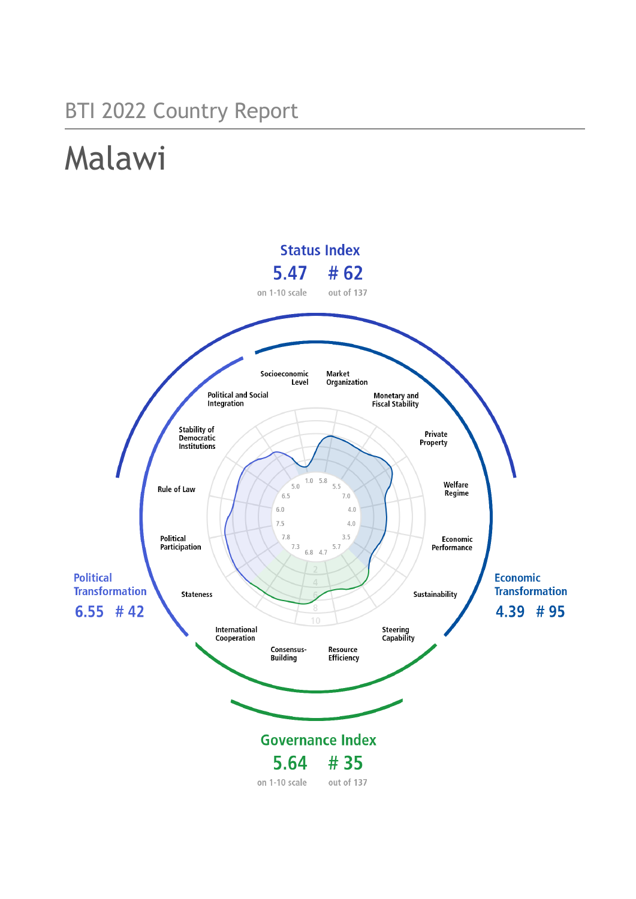# BTI 2022 Country Report

# Malawi

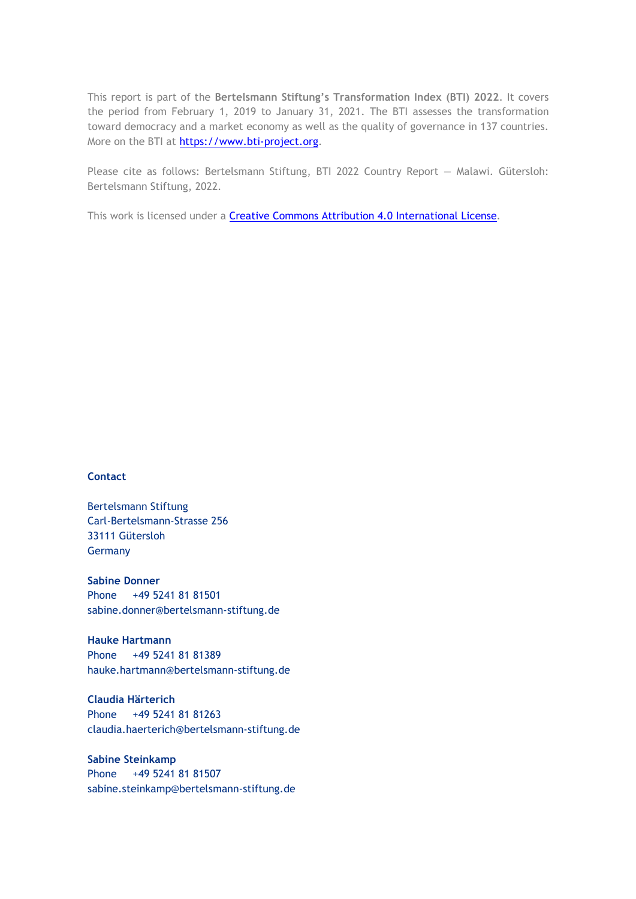This report is part of the **Bertelsmann Stiftung's Transformation Index (BTI) 2022**. It covers the period from February 1, 2019 to January 31, 2021. The BTI assesses the transformation toward democracy and a market economy as well as the quality of governance in 137 countries. More on the BTI at [https://www.bti-project.org.](https://www.bti-project.org/)

Please cite as follows: Bertelsmann Stiftung, BTI 2022 Country Report — Malawi. Gütersloh: Bertelsmann Stiftung, 2022.

This work is licensed under a **Creative Commons Attribution 4.0 International License**.

# **Contact**

Bertelsmann Stiftung Carl-Bertelsmann-Strasse 256 33111 Gütersloh Germany

**Sabine Donner** Phone +49 5241 81 81501 sabine.donner@bertelsmann-stiftung.de

**Hauke Hartmann** Phone +49 5241 81 81389 hauke.hartmann@bertelsmann-stiftung.de

**Claudia Härterich** Phone +49 5241 81 81263 claudia.haerterich@bertelsmann-stiftung.de

# **Sabine Steinkamp** Phone +49 5241 81 81507 sabine.steinkamp@bertelsmann-stiftung.de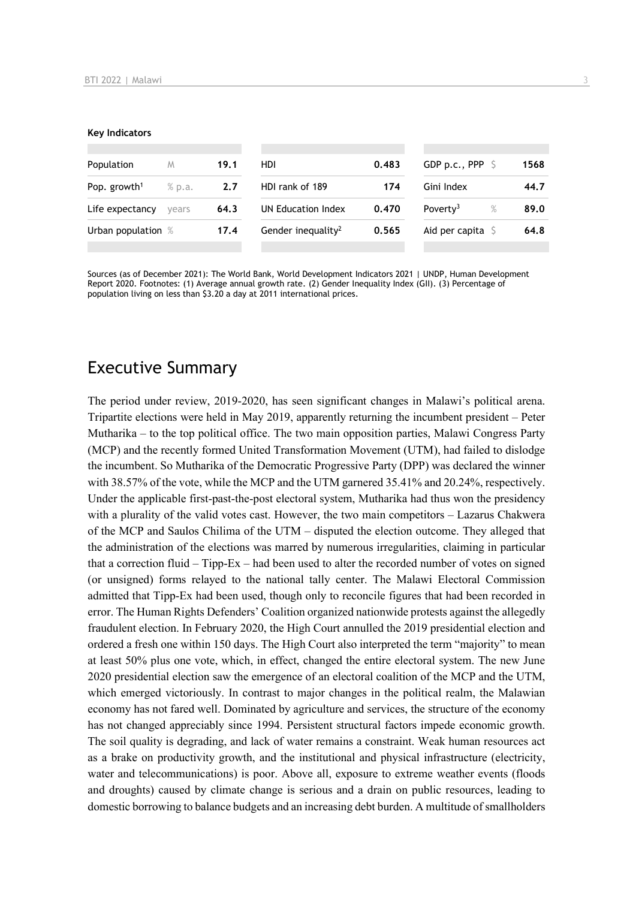#### **Key Indicators**

| Population               | M      | 19.1 | HDI                            | 0.483 | GDP p.c., PPP $\ S$          | 1568 |
|--------------------------|--------|------|--------------------------------|-------|------------------------------|------|
| Pop. growth <sup>1</sup> | % p.a. | 2.7  | HDI rank of 189                | 174   | Gini Index                   | 44.7 |
| Life expectancy          | vears  | 64.3 | UN Education Index             | 0.470 | Poverty <sup>3</sup><br>$\%$ | 89.0 |
| Urban population %       |        | 17.4 | Gender inequality <sup>2</sup> | 0.565 | Aid per capita               | 64.8 |
|                          |        |      |                                |       |                              |      |

Sources (as of December 2021): The World Bank, World Development Indicators 2021 | UNDP, Human Development Report 2020. Footnotes: (1) Average annual growth rate. (2) Gender Inequality Index (GII). (3) Percentage of population living on less than \$3.20 a day at 2011 international prices.

# Executive Summary

The period under review, 2019-2020, has seen significant changes in Malawi's political arena. Tripartite elections were held in May 2019, apparently returning the incumbent president – Peter Mutharika – to the top political office. The two main opposition parties, Malawi Congress Party (MCP) and the recently formed United Transformation Movement (UTM), had failed to dislodge the incumbent. So Mutharika of the Democratic Progressive Party (DPP) was declared the winner with 38.57% of the vote, while the MCP and the UTM garnered 35.41% and 20.24%, respectively. Under the applicable first-past-the-post electoral system, Mutharika had thus won the presidency with a plurality of the valid votes cast. However, the two main competitors – Lazarus Chakwera of the MCP and Saulos Chilima of the UTM – disputed the election outcome. They alleged that the administration of the elections was marred by numerous irregularities, claiming in particular that a correction fluid – Tipp-Ex – had been used to alter the recorded number of votes on signed (or unsigned) forms relayed to the national tally center. The Malawi Electoral Commission admitted that Tipp-Ex had been used, though only to reconcile figures that had been recorded in error. The Human Rights Defenders' Coalition organized nationwide protests against the allegedly fraudulent election. In February 2020, the High Court annulled the 2019 presidential election and ordered a fresh one within 150 days. The High Court also interpreted the term "majority" to mean at least 50% plus one vote, which, in effect, changed the entire electoral system. The new June 2020 presidential election saw the emergence of an electoral coalition of the MCP and the UTM, which emerged victoriously. In contrast to major changes in the political realm, the Malawian economy has not fared well. Dominated by agriculture and services, the structure of the economy has not changed appreciably since 1994. Persistent structural factors impede economic growth. The soil quality is degrading, and lack of water remains a constraint. Weak human resources act as a brake on productivity growth, and the institutional and physical infrastructure (electricity, water and telecommunications) is poor. Above all, exposure to extreme weather events (floods and droughts) caused by climate change is serious and a drain on public resources, leading to domestic borrowing to balance budgets and an increasing debt burden. A multitude of smallholders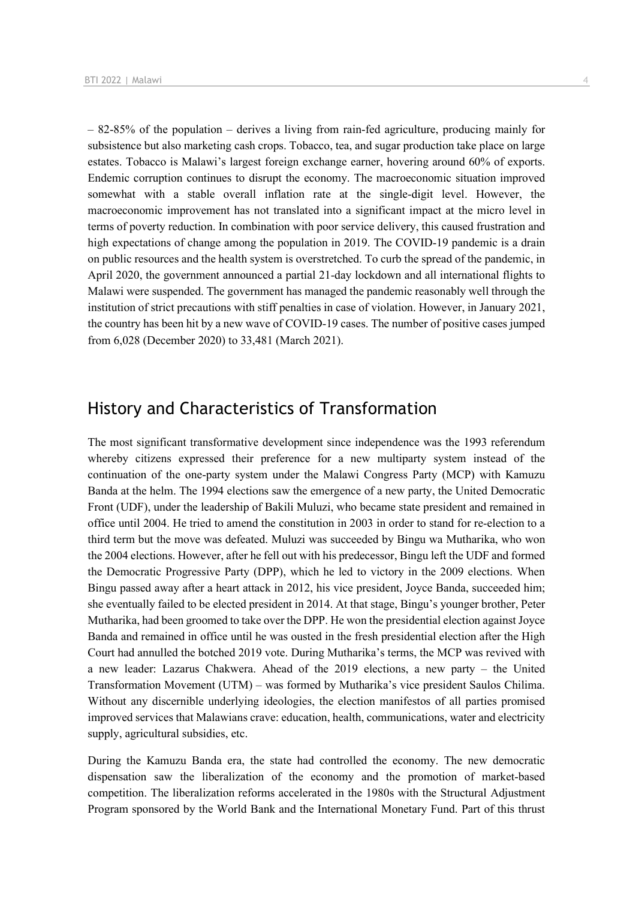– 82-85% of the population – derives a living from rain-fed agriculture, producing mainly for subsistence but also marketing cash crops. Tobacco, tea, and sugar production take place on large estates. Tobacco is Malawi's largest foreign exchange earner, hovering around 60% of exports. Endemic corruption continues to disrupt the economy. The macroeconomic situation improved somewhat with a stable overall inflation rate at the single-digit level. However, the macroeconomic improvement has not translated into a significant impact at the micro level in terms of poverty reduction. In combination with poor service delivery, this caused frustration and high expectations of change among the population in 2019. The COVID-19 pandemic is a drain on public resources and the health system is overstretched. To curb the spread of the pandemic, in April 2020, the government announced a partial 21-day lockdown and all international flights to Malawi were suspended. The government has managed the pandemic reasonably well through the institution of strict precautions with stiff penalties in case of violation. However, in January 2021, the country has been hit by a new wave of COVID-19 cases. The number of positive cases jumped from 6,028 (December 2020) to 33,481 (March 2021).

# History and Characteristics of Transformation

The most significant transformative development since independence was the 1993 referendum whereby citizens expressed their preference for a new multiparty system instead of the continuation of the one-party system under the Malawi Congress Party (MCP) with Kamuzu Banda at the helm. The 1994 elections saw the emergence of a new party, the United Democratic Front (UDF), under the leadership of Bakili Muluzi, who became state president and remained in office until 2004. He tried to amend the constitution in 2003 in order to stand for re-election to a third term but the move was defeated. Muluzi was succeeded by Bingu wa Mutharika, who won the 2004 elections. However, after he fell out with his predecessor, Bingu left the UDF and formed the Democratic Progressive Party (DPP), which he led to victory in the 2009 elections. When Bingu passed away after a heart attack in 2012, his vice president, Joyce Banda, succeeded him; she eventually failed to be elected president in 2014. At that stage, Bingu's younger brother, Peter Mutharika, had been groomed to take over the DPP. He won the presidential election against Joyce Banda and remained in office until he was ousted in the fresh presidential election after the High Court had annulled the botched 2019 vote. During Mutharika's terms, the MCP was revived with a new leader: Lazarus Chakwera. Ahead of the 2019 elections, a new party – the United Transformation Movement (UTM) – was formed by Mutharika's vice president Saulos Chilima. Without any discernible underlying ideologies, the election manifestos of all parties promised improved services that Malawians crave: education, health, communications, water and electricity supply, agricultural subsidies, etc.

During the Kamuzu Banda era, the state had controlled the economy. The new democratic dispensation saw the liberalization of the economy and the promotion of market-based competition. The liberalization reforms accelerated in the 1980s with the Structural Adjustment Program sponsored by the World Bank and the International Monetary Fund. Part of this thrust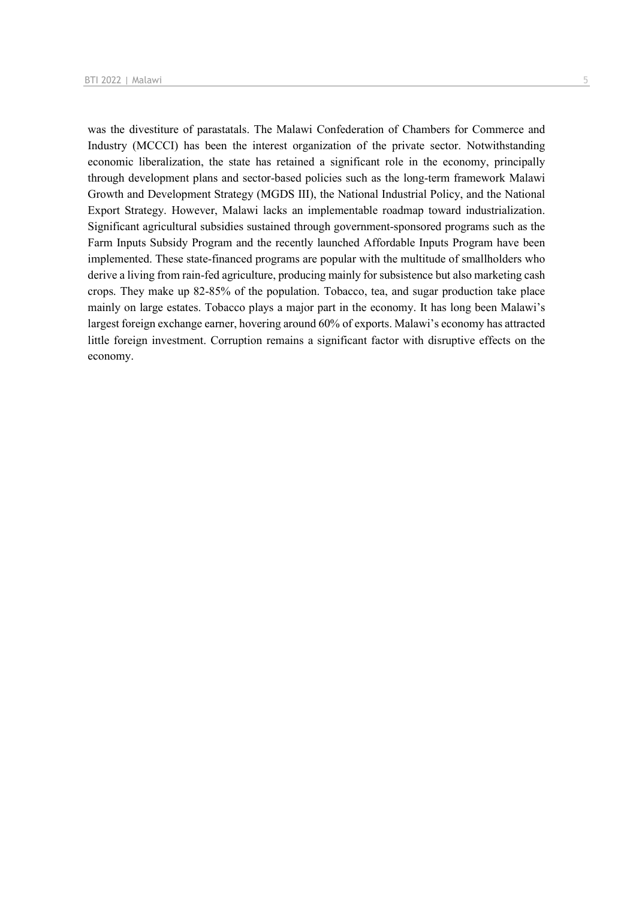was the divestiture of parastatals. The Malawi Confederation of Chambers for Commerce and Industry (MCCCI) has been the interest organization of the private sector. Notwithstanding economic liberalization, the state has retained a significant role in the economy, principally through development plans and sector-based policies such as the long-term framework Malawi Growth and Development Strategy (MGDS III), the National Industrial Policy, and the National Export Strategy. However, Malawi lacks an implementable roadmap toward industrialization. Significant agricultural subsidies sustained through government-sponsored programs such as the Farm Inputs Subsidy Program and the recently launched Affordable Inputs Program have been implemented. These state-financed programs are popular with the multitude of smallholders who derive a living from rain-fed agriculture, producing mainly for subsistence but also marketing cash crops. They make up 82-85% of the population. Tobacco, tea, and sugar production take place mainly on large estates. Tobacco plays a major part in the economy. It has long been Malawi's largest foreign exchange earner, hovering around 60% of exports. Malawi's economy has attracted little foreign investment. Corruption remains a significant factor with disruptive effects on the economy.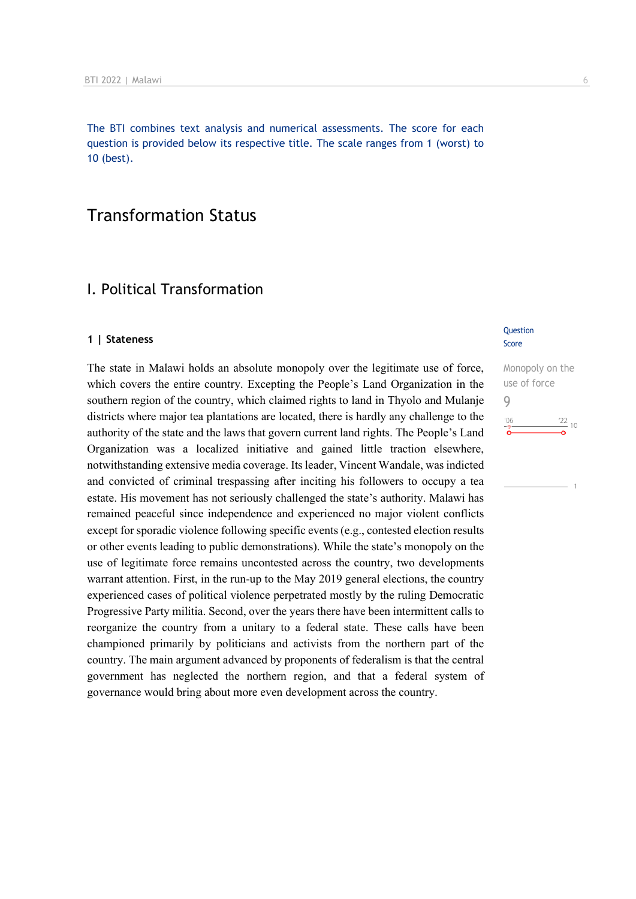The BTI combines text analysis and numerical assessments. The score for each question is provided below its respective title. The scale ranges from 1 (worst) to 10 (best).

# Transformation Status

# I. Political Transformation

## **1 | Stateness**

The state in Malawi holds an absolute monopoly over the legitimate use of force, which covers the entire country. Excepting the People's Land Organization in the southern region of the country, which claimed rights to land in Thyolo and Mulanje districts where major tea plantations are located, there is hardly any challenge to the authority of the state and the laws that govern current land rights. The People's Land Organization was a localized initiative and gained little traction elsewhere, notwithstanding extensive media coverage. Its leader, Vincent Wandale, was indicted and convicted of criminal trespassing after inciting his followers to occupy a tea estate. His movement has not seriously challenged the state's authority. Malawi has remained peaceful since independence and experienced no major violent conflicts except for sporadic violence following specific events (e.g., contested election results or other events leading to public demonstrations). While the state's monopoly on the use of legitimate force remains uncontested across the country, two developments warrant attention. First, in the run-up to the May 2019 general elections, the country experienced cases of political violence perpetrated mostly by the ruling Democratic Progressive Party militia. Second, over the years there have been intermittent calls to reorganize the country from a unitary to a federal state. These calls have been championed primarily by politicians and activists from the northern part of the country. The main argument advanced by proponents of federalism is that the central government has neglected the northern region, and that a federal system of governance would bring about more even development across the country.

### **Question** Score

Monopoly on the use of force 9 $\frac{22}{10}$  10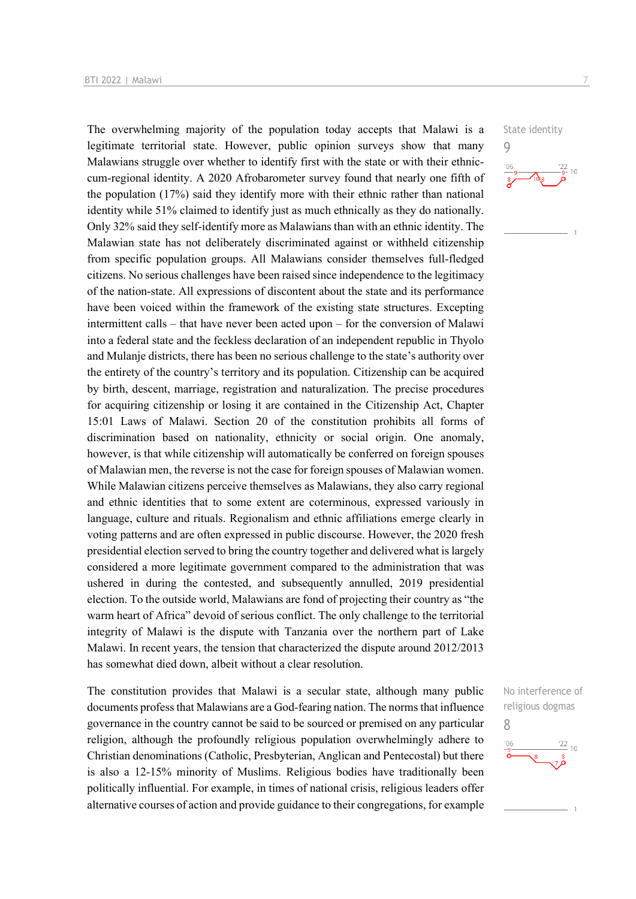The overwhelming majority of the population today accepts that Malawi is a legitimate territorial state. However, public opinion surveys show that many Malawians struggle over whether to identify first with the state or with their ethniccum-regional identity. A 2020 Afrobarometer survey found that nearly one fifth of the population (17%) said they identify more with their ethnic rather than national identity while 51% claimed to identify just as much ethnically as they do nationally. Only 32% said they self-identify more as Malawians than with an ethnic identity. The Malawian state has not deliberately discriminated against or withheld citizenship from specific population groups. All Malawians consider themselves full-fledged citizens. No serious challenges have been raised since independence to the legitimacy of the nation-state. All expressions of discontent about the state and its performance have been voiced within the framework of the existing state structures. Excepting intermittent calls – that have never been acted upon – for the conversion of Malawi into a federal state and the feckless declaration of an independent republic in Thyolo and Mulanje districts, there has been no serious challenge to the state's authority over the entirety of the country's territory and its population. Citizenship can be acquired by birth, descent, marriage, registration and naturalization. The precise procedures for acquiring citizenship or losing it are contained in the Citizenship Act, Chapter 15:01 Laws of Malawi. Section 20 of the constitution prohibits all forms of discrimination based on nationality, ethnicity or social origin. One anomaly, however, is that while citizenship will automatically be conferred on foreign spouses of Malawian men, the reverse is not the case for foreign spouses of Malawian women. While Malawian citizens perceive themselves as Malawians, they also carry regional and ethnic identities that to some extent are coterminous, expressed variously in language, culture and rituals. Regionalism and ethnic affiliations emerge clearly in voting patterns and are often expressed in public discourse. However, the 2020 fresh presidential election served to bring the country together and delivered what is largely considered a more legitimate government compared to the administration that was ushered in during the contested, and subsequently annulled, 2019 presidential election. To the outside world, Malawians are fond of projecting their country as "the warm heart of Africa" devoid of serious conflict. The only challenge to the territorial integrity of Malawi is the dispute with Tanzania over the northern part of Lake Malawi. In recent years, the tension that characterized the dispute around 2012/2013 has somewhat died down, albeit without a clear resolution.

The constitution provides that Malawi is a secular state, although many public documents profess that Malawians are a God-fearing nation. The norms that influence governance in the country cannot be said to be sourced or premised on any particular religion, although the profoundly religious population overwhelmingly adhere to Christian denominations (Catholic, Presbyterian, Anglican and Pentecostal) but there is also a 12-15% minority of Muslims. Religious bodies have traditionally been politically influential. For example, in times of national crisis, religious leaders offer alternative courses of action and provide guidance to their congregations, for example

State identity



No interference of religious dogmas 8 $\frac{22}{10}$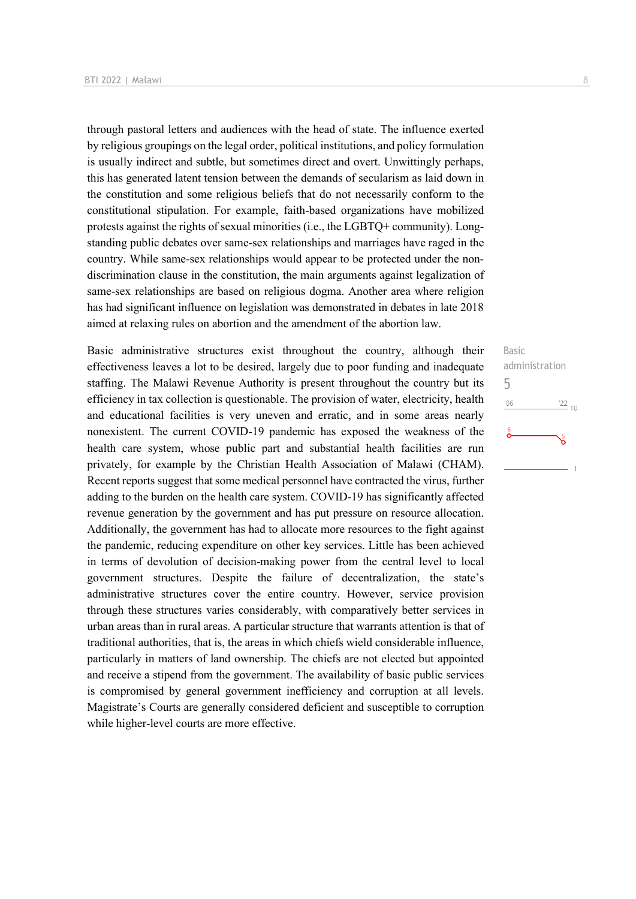through pastoral letters and audiences with the head of state. The influence exerted by religious groupings on the legal order, political institutions, and policy formulation is usually indirect and subtle, but sometimes direct and overt. Unwittingly perhaps, this has generated latent tension between the demands of secularism as laid down in the constitution and some religious beliefs that do not necessarily conform to the constitutional stipulation. For example, faith-based organizations have mobilized protests against the rights of sexual minorities (i.e., the LGBTQ+ community). Longstanding public debates over same-sex relationships and marriages have raged in the country. While same-sex relationships would appear to be protected under the nondiscrimination clause in the constitution, the main arguments against legalization of same-sex relationships are based on religious dogma. Another area where religion has had significant influence on legislation was demonstrated in debates in late 2018 aimed at relaxing rules on abortion and the amendment of the abortion law.

Basic administrative structures exist throughout the country, although their effectiveness leaves a lot to be desired, largely due to poor funding and inadequate staffing. The Malawi Revenue Authority is present throughout the country but its efficiency in tax collection is questionable. The provision of water, electricity, health and educational facilities is very uneven and erratic, and in some areas nearly nonexistent. The current COVID-19 pandemic has exposed the weakness of the health care system, whose public part and substantial health facilities are run privately, for example by the Christian Health Association of Malawi (CHAM). Recent reports suggest that some medical personnel have contracted the virus, further adding to the burden on the health care system. COVID-19 has significantly affected revenue generation by the government and has put pressure on resource allocation. Additionally, the government has had to allocate more resources to the fight against the pandemic, reducing expenditure on other key services. Little has been achieved in terms of devolution of decision-making power from the central level to local government structures. Despite the failure of decentralization, the state's administrative structures cover the entire country. However, service provision through these structures varies considerably, with comparatively better services in urban areas than in rural areas. A particular structure that warrants attention is that of traditional authorities, that is, the areas in which chiefs wield considerable influence, particularly in matters of land ownership. The chiefs are not elected but appointed and receive a stipend from the government. The availability of basic public services is compromised by general government inefficiency and corruption at all levels. Magistrate's Courts are generally considered deficient and susceptible to corruption while higher-level courts are more effective.

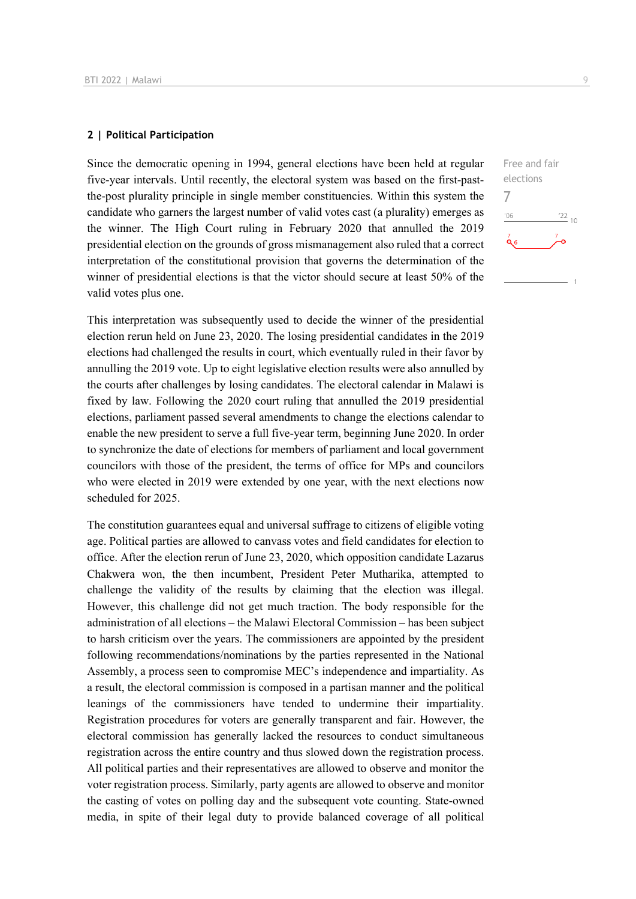## **2 | Political Participation**

Since the democratic opening in 1994, general elections have been held at regular five-year intervals. Until recently, the electoral system was based on the first-pastthe-post plurality principle in single member constituencies. Within this system the candidate who garners the largest number of valid votes cast (a plurality) emerges as the winner. The High Court ruling in February 2020 that annulled the 2019 presidential election on the grounds of gross mismanagement also ruled that a correct interpretation of the constitutional provision that governs the determination of the winner of presidential elections is that the victor should secure at least 50% of the valid votes plus one.

This interpretation was subsequently used to decide the winner of the presidential election rerun held on June 23, 2020. The losing presidential candidates in the 2019 elections had challenged the results in court, which eventually ruled in their favor by annulling the 2019 vote. Up to eight legislative election results were also annulled by the courts after challenges by losing candidates. The electoral calendar in Malawi is fixed by law. Following the 2020 court ruling that annulled the 2019 presidential elections, parliament passed several amendments to change the elections calendar to enable the new president to serve a full five-year term, beginning June 2020. In order to synchronize the date of elections for members of parliament and local government councilors with those of the president, the terms of office for MPs and councilors who were elected in 2019 were extended by one year, with the next elections now scheduled for 2025.

The constitution guarantees equal and universal suffrage to citizens of eligible voting age. Political parties are allowed to canvass votes and field candidates for election to office. After the election rerun of June 23, 2020, which opposition candidate Lazarus Chakwera won, the then incumbent, President Peter Mutharika, attempted to challenge the validity of the results by claiming that the election was illegal. However, this challenge did not get much traction. The body responsible for the administration of all elections – the Malawi Electoral Commission – has been subject to harsh criticism over the years. The commissioners are appointed by the president following recommendations/nominations by the parties represented in the National Assembly, a process seen to compromise MEC's independence and impartiality. As a result, the electoral commission is composed in a partisan manner and the political leanings of the commissioners have tended to undermine their impartiality. Registration procedures for voters are generally transparent and fair. However, the electoral commission has generally lacked the resources to conduct simultaneous registration across the entire country and thus slowed down the registration process. All political parties and their representatives are allowed to observe and monitor the voter registration process. Similarly, party agents are allowed to observe and monitor the casting of votes on polling day and the subsequent vote counting. State-owned media, in spite of their legal duty to provide balanced coverage of all political

Free and fair elections 7 $^{\prime}06$  $\frac{22}{10}$  $\alpha$ <sub>6</sub>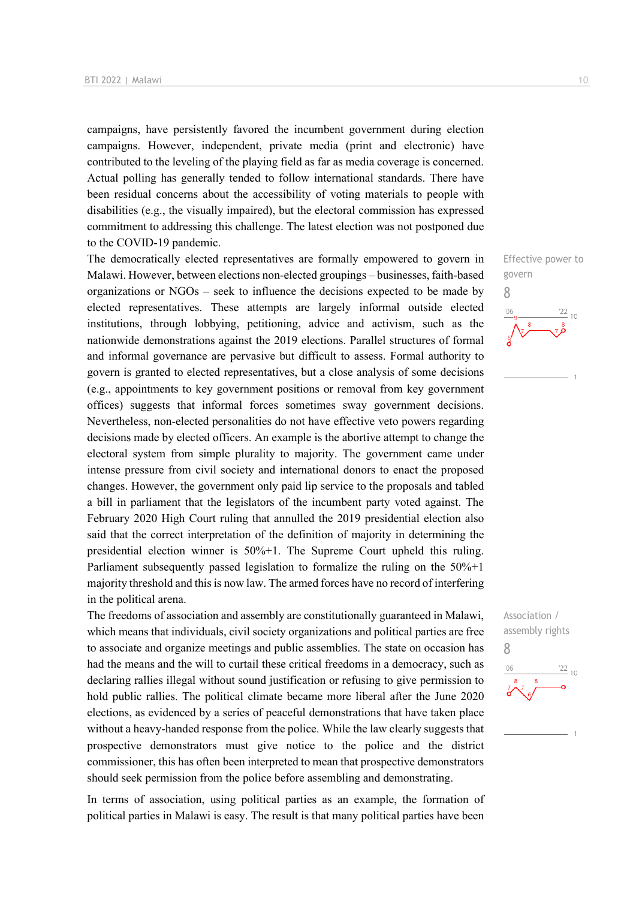campaigns, have persistently favored the incumbent government during election campaigns. However, independent, private media (print and electronic) have contributed to the leveling of the playing field as far as media coverage is concerned. Actual polling has generally tended to follow international standards. There have been residual concerns about the accessibility of voting materials to people with disabilities (e.g., the visually impaired), but the electoral commission has expressed commitment to addressing this challenge. The latest election was not postponed due to the COVID-19 pandemic.

The democratically elected representatives are formally empowered to govern in Malawi. However, between elections non-elected groupings – businesses, faith-based organizations or NGOs – seek to influence the decisions expected to be made by elected representatives. These attempts are largely informal outside elected institutions, through lobbying, petitioning, advice and activism, such as the nationwide demonstrations against the 2019 elections. Parallel structures of formal and informal governance are pervasive but difficult to assess. Formal authority to govern is granted to elected representatives, but a close analysis of some decisions (e.g., appointments to key government positions or removal from key government offices) suggests that informal forces sometimes sway government decisions. Nevertheless, non-elected personalities do not have effective veto powers regarding decisions made by elected officers. An example is the abortive attempt to change the electoral system from simple plurality to majority. The government came under intense pressure from civil society and international donors to enact the proposed changes. However, the government only paid lip service to the proposals and tabled a bill in parliament that the legislators of the incumbent party voted against. The February 2020 High Court ruling that annulled the 2019 presidential election also said that the correct interpretation of the definition of majority in determining the presidential election winner is 50%+1. The Supreme Court upheld this ruling. Parliament subsequently passed legislation to formalize the ruling on the 50%+1 majority threshold and this is now law. The armed forces have no record of interfering in the political arena.

The freedoms of association and assembly are constitutionally guaranteed in Malawi, which means that individuals, civil society organizations and political parties are free to associate and organize meetings and public assemblies. The state on occasion has had the means and the will to curtail these critical freedoms in a democracy, such as declaring rallies illegal without sound justification or refusing to give permission to hold public rallies. The political climate became more liberal after the June 2020 elections, as evidenced by a series of peaceful demonstrations that have taken place without a heavy-handed response from the police. While the law clearly suggests that prospective demonstrators must give notice to the police and the district commissioner, this has often been interpreted to mean that prospective demonstrators should seek permission from the police before assembling and demonstrating.

In terms of association, using political parties as an example, the formation of political parties in Malawi is easy. The result is that many political parties have been



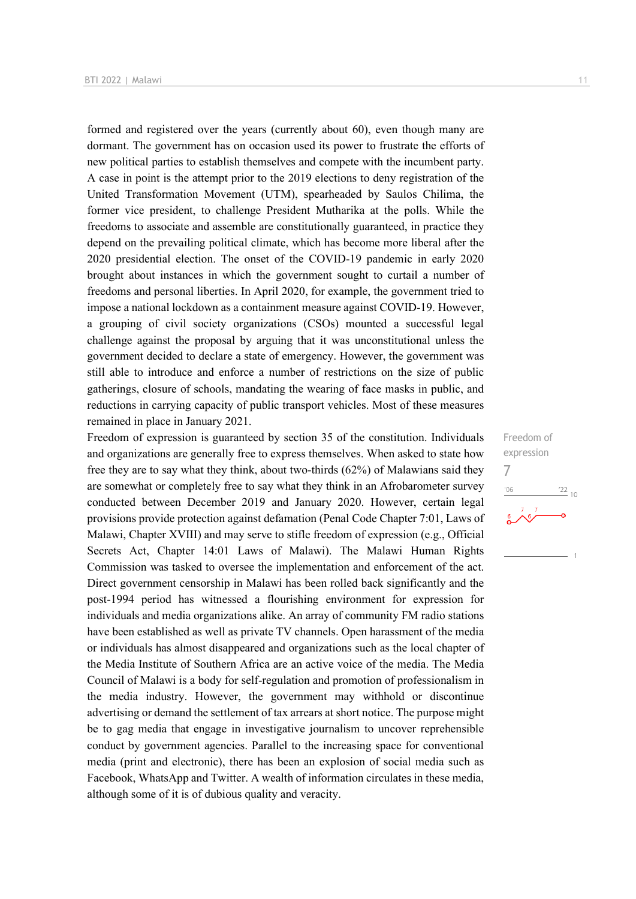formed and registered over the years (currently about 60), even though many are dormant. The government has on occasion used its power to frustrate the efforts of new political parties to establish themselves and compete with the incumbent party. A case in point is the attempt prior to the 2019 elections to deny registration of the United Transformation Movement (UTM), spearheaded by Saulos Chilima, the former vice president, to challenge President Mutharika at the polls. While the freedoms to associate and assemble are constitutionally guaranteed, in practice they depend on the prevailing political climate, which has become more liberal after the 2020 presidential election. The onset of the COVID-19 pandemic in early 2020 brought about instances in which the government sought to curtail a number of freedoms and personal liberties. In April 2020, for example, the government tried to impose a national lockdown as a containment measure against COVID-19. However, a grouping of civil society organizations (CSOs) mounted a successful legal challenge against the proposal by arguing that it was unconstitutional unless the government decided to declare a state of emergency. However, the government was still able to introduce and enforce a number of restrictions on the size of public gatherings, closure of schools, mandating the wearing of face masks in public, and reductions in carrying capacity of public transport vehicles. Most of these measures remained in place in January 2021.

Freedom of expression is guaranteed by section 35 of the constitution. Individuals and organizations are generally free to express themselves. When asked to state how free they are to say what they think, about two-thirds (62%) of Malawians said they are somewhat or completely free to say what they think in an Afrobarometer survey conducted between December 2019 and January 2020. However, certain legal provisions provide protection against defamation (Penal Code Chapter 7:01, Laws of Malawi, Chapter XVIII) and may serve to stifle freedom of expression (e.g., Official Secrets Act, Chapter 14:01 Laws of Malawi). The Malawi Human Rights Commission was tasked to oversee the implementation and enforcement of the act. Direct government censorship in Malawi has been rolled back significantly and the post-1994 period has witnessed a flourishing environment for expression for individuals and media organizations alike. An array of community FM radio stations have been established as well as private TV channels. Open harassment of the media or individuals has almost disappeared and organizations such as the local chapter of the Media Institute of Southern Africa are an active voice of the media. The Media Council of Malawi is a body for self-regulation and promotion of professionalism in the media industry. However, the government may withhold or discontinue advertising or demand the settlement of tax arrears at short notice. The purpose might be to gag media that engage in investigative journalism to uncover reprehensible conduct by government agencies. Parallel to the increasing space for conventional media (print and electronic), there has been an explosion of social media such as Facebook, WhatsApp and Twitter. A wealth of information circulates in these media, although some of it is of dubious quality and veracity.

Freedom of expression 7 $\frac{22}{10}$  $n<sub>0</sub>$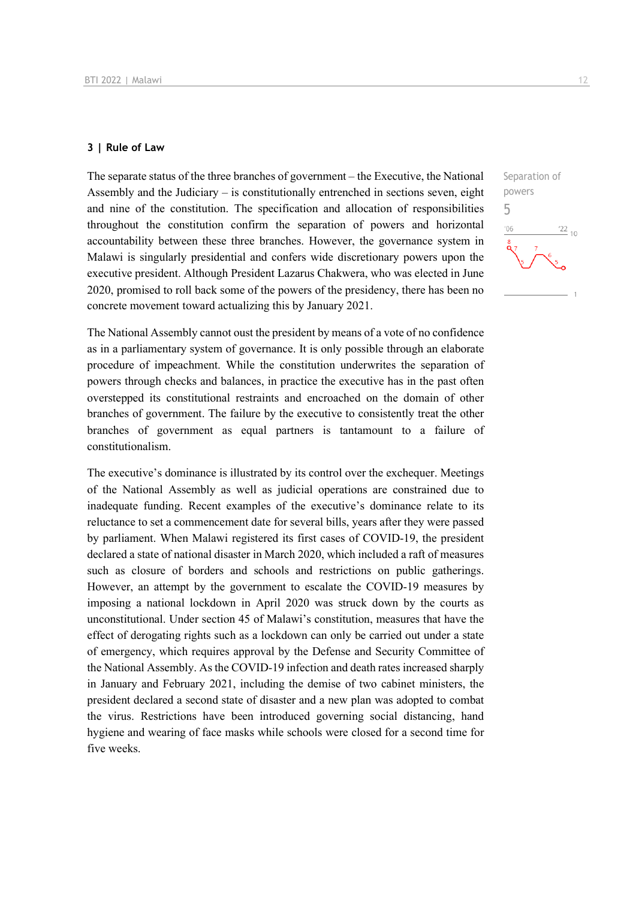## **3 | Rule of Law**

The separate status of the three branches of government – the Executive, the National Assembly and the Judiciary – is constitutionally entrenched in sections seven, eight and nine of the constitution. The specification and allocation of responsibilities throughout the constitution confirm the separation of powers and horizontal accountability between these three branches. However, the governance system in Malawi is singularly presidential and confers wide discretionary powers upon the executive president. Although President Lazarus Chakwera, who was elected in June 2020, promised to roll back some of the powers of the presidency, there has been no concrete movement toward actualizing this by January 2021.

The National Assembly cannot oust the president by means of a vote of no confidence as in a parliamentary system of governance. It is only possible through an elaborate procedure of impeachment. While the constitution underwrites the separation of powers through checks and balances, in practice the executive has in the past often overstepped its constitutional restraints and encroached on the domain of other branches of government. The failure by the executive to consistently treat the other branches of government as equal partners is tantamount to a failure of constitutionalism.

The executive's dominance is illustrated by its control over the exchequer. Meetings of the National Assembly as well as judicial operations are constrained due to inadequate funding. Recent examples of the executive's dominance relate to its reluctance to set a commencement date for several bills, years after they were passed by parliament. When Malawi registered its first cases of COVID-19, the president declared a state of national disaster in March 2020, which included a raft of measures such as closure of borders and schools and restrictions on public gatherings. However, an attempt by the government to escalate the COVID-19 measures by imposing a national lockdown in April 2020 was struck down by the courts as unconstitutional. Under section 45 of Malawi's constitution, measures that have the effect of derogating rights such as a lockdown can only be carried out under a state of emergency, which requires approval by the Defense and Security Committee of the National Assembly. As the COVID-19 infection and death rates increased sharply in January and February 2021, including the demise of two cabinet ministers, the president declared a second state of disaster and a new plan was adopted to combat the virus. Restrictions have been introduced governing social distancing, hand hygiene and wearing of face masks while schools were closed for a second time for five weeks.

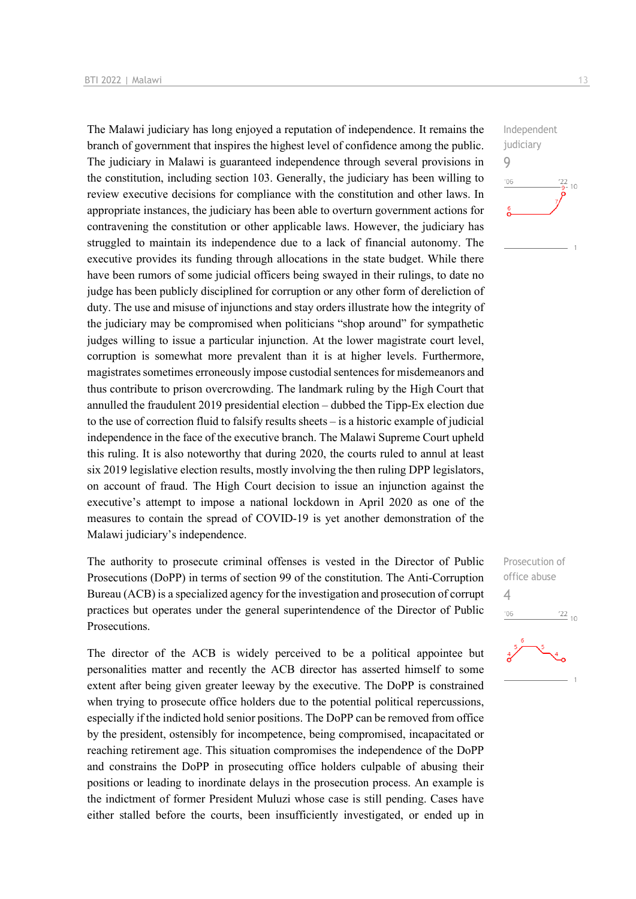The Malawi judiciary has long enjoyed a reputation of independence. It remains the branch of government that inspires the highest level of confidence among the public. The judiciary in Malawi is guaranteed independence through several provisions in the constitution, including section 103. Generally, the judiciary has been willing to review executive decisions for compliance with the constitution and other laws. In appropriate instances, the judiciary has been able to overturn government actions for contravening the constitution or other applicable laws. However, the judiciary has struggled to maintain its independence due to a lack of financial autonomy. The executive provides its funding through allocations in the state budget. While there have been rumors of some judicial officers being swayed in their rulings, to date no judge has been publicly disciplined for corruption or any other form of dereliction of duty. The use and misuse of injunctions and stay orders illustrate how the integrity of the judiciary may be compromised when politicians "shop around" for sympathetic judges willing to issue a particular injunction. At the lower magistrate court level, corruption is somewhat more prevalent than it is at higher levels. Furthermore, magistrates sometimes erroneously impose custodial sentences for misdemeanors and thus contribute to prison overcrowding. The landmark ruling by the High Court that annulled the fraudulent 2019 presidential election – dubbed the Tipp-Ex election due to the use of correction fluid to falsify results sheets – is a historic example of judicial independence in the face of the executive branch. The Malawi Supreme Court upheld this ruling. It is also noteworthy that during 2020, the courts ruled to annul at least six 2019 legislative election results, mostly involving the then ruling DPP legislators, on account of fraud. The High Court decision to issue an injunction against the executive's attempt to impose a national lockdown in April 2020 as one of the measures to contain the spread of COVID-19 is yet another demonstration of the Malawi judiciary's independence.

The authority to prosecute criminal offenses is vested in the Director of Public Prosecutions (DoPP) in terms of section 99 of the constitution. The Anti-Corruption Bureau (ACB) is a specialized agency for the investigation and prosecution of corrupt practices but operates under the general superintendence of the Director of Public Prosecutions.

The director of the ACB is widely perceived to be a political appointee but personalities matter and recently the ACB director has asserted himself to some extent after being given greater leeway by the executive. The DoPP is constrained when trying to prosecute office holders due to the potential political repercussions, especially if the indicted hold senior positions. The DoPP can be removed from office by the president, ostensibly for incompetence, being compromised, incapacitated or reaching retirement age. This situation compromises the independence of the DoPP and constrains the DoPP in prosecuting office holders culpable of abusing their positions or leading to inordinate delays in the prosecution process. An example is the indictment of former President Muluzi whose case is still pending. Cases have either stalled before the courts, been insufficiently investigated, or ended up in



Prosecution of office abuse 4 $-06$  $\frac{22}{10}$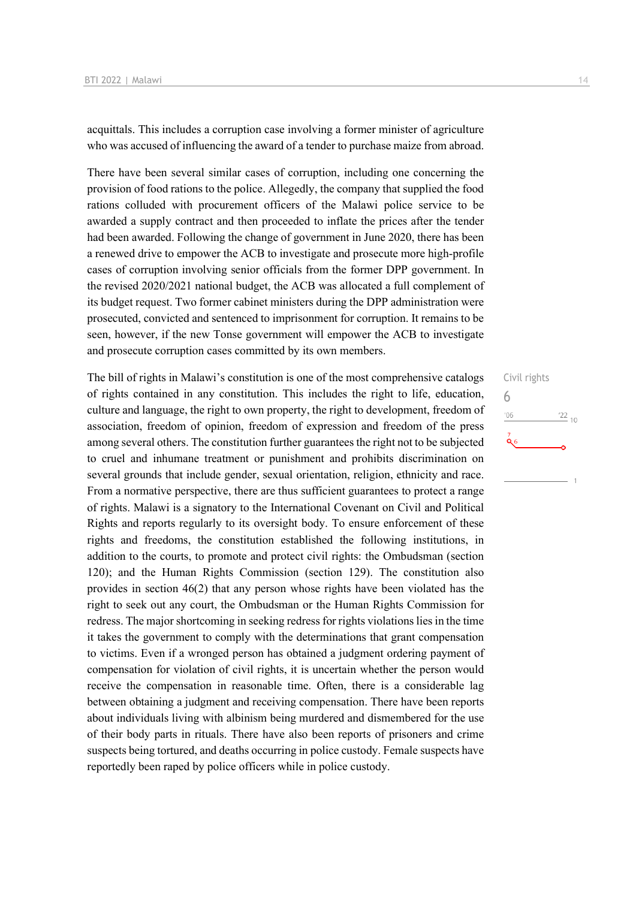acquittals. This includes a corruption case involving a former minister of agriculture who was accused of influencing the award of a tender to purchase maize from abroad.

There have been several similar cases of corruption, including one concerning the provision of food rations to the police. Allegedly, the company that supplied the food rations colluded with procurement officers of the Malawi police service to be awarded a supply contract and then proceeded to inflate the prices after the tender had been awarded. Following the change of government in June 2020, there has been a renewed drive to empower the ACB to investigate and prosecute more high-profile cases of corruption involving senior officials from the former DPP government. In the revised 2020/2021 national budget, the ACB was allocated a full complement of its budget request. Two former cabinet ministers during the DPP administration were prosecuted, convicted and sentenced to imprisonment for corruption. It remains to be seen, however, if the new Tonse government will empower the ACB to investigate and prosecute corruption cases committed by its own members.

The bill of rights in Malawi's constitution is one of the most comprehensive catalogs of rights contained in any constitution. This includes the right to life, education, culture and language, the right to own property, the right to development, freedom of association, freedom of opinion, freedom of expression and freedom of the press among several others. The constitution further guarantees the right not to be subjected to cruel and inhumane treatment or punishment and prohibits discrimination on several grounds that include gender, sexual orientation, religion, ethnicity and race. From a normative perspective, there are thus sufficient guarantees to protect a range of rights. Malawi is a signatory to the International Covenant on Civil and Political Rights and reports regularly to its oversight body. To ensure enforcement of these rights and freedoms, the constitution established the following institutions, in addition to the courts, to promote and protect civil rights: the Ombudsman (section 120); and the Human Rights Commission (section 129). The constitution also provides in section 46(2) that any person whose rights have been violated has the right to seek out any court, the Ombudsman or the Human Rights Commission for redress. The major shortcoming in seeking redress for rights violations lies in the time it takes the government to comply with the determinations that grant compensation to victims. Even if a wronged person has obtained a judgment ordering payment of compensation for violation of civil rights, it is uncertain whether the person would receive the compensation in reasonable time. Often, there is a considerable lag between obtaining a judgment and receiving compensation. There have been reports about individuals living with albinism being murdered and dismembered for the use of their body parts in rituals. There have also been reports of prisoners and crime suspects being tortured, and deaths occurring in police custody. Female suspects have reportedly been raped by police officers while in police custody.

# Civil rights 6 $^{\prime}06$  $\frac{22}{10}$  $Q_6$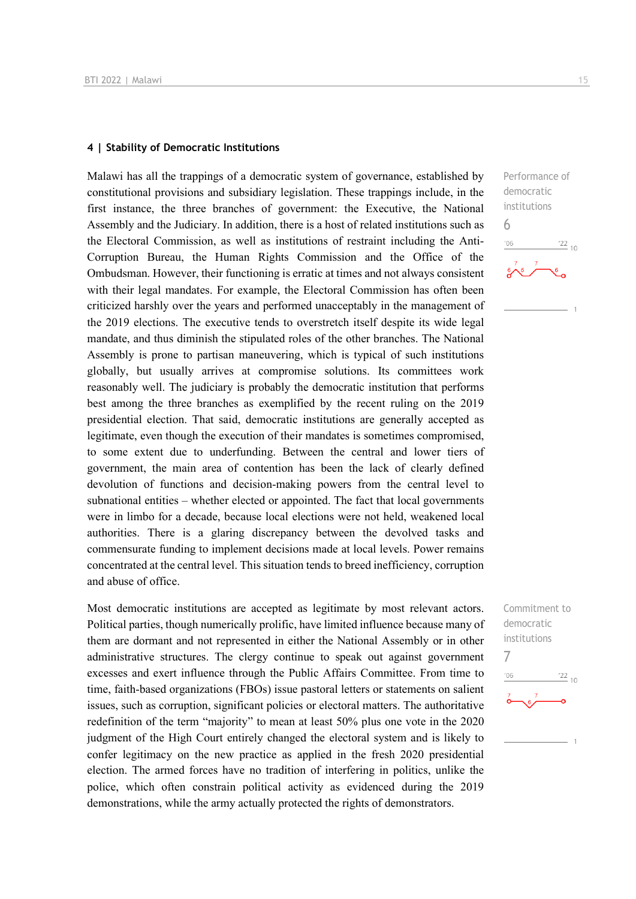#### **4 | Stability of Democratic Institutions**

Malawi has all the trappings of a democratic system of governance, established by constitutional provisions and subsidiary legislation. These trappings include, in the first instance, the three branches of government: the Executive, the National Assembly and the Judiciary. In addition, there is a host of related institutions such as the Electoral Commission, as well as institutions of restraint including the Anti-Corruption Bureau, the Human Rights Commission and the Office of the Ombudsman. However, their functioning is erratic at times and not always consistent with their legal mandates. For example, the Electoral Commission has often been criticized harshly over the years and performed unacceptably in the management of the 2019 elections. The executive tends to overstretch itself despite its wide legal mandate, and thus diminish the stipulated roles of the other branches. The National Assembly is prone to partisan maneuvering, which is typical of such institutions globally, but usually arrives at compromise solutions. Its committees work reasonably well. The judiciary is probably the democratic institution that performs best among the three branches as exemplified by the recent ruling on the 2019 presidential election. That said, democratic institutions are generally accepted as legitimate, even though the execution of their mandates is sometimes compromised, to some extent due to underfunding. Between the central and lower tiers of government, the main area of contention has been the lack of clearly defined devolution of functions and decision-making powers from the central level to subnational entities – whether elected or appointed. The fact that local governments were in limbo for a decade, because local elections were not held, weakened local authorities. There is a glaring discrepancy between the devolved tasks and commensurate funding to implement decisions made at local levels. Power remains concentrated at the central level. This situation tends to breed inefficiency, corruption and abuse of office.

Most democratic institutions are accepted as legitimate by most relevant actors. Political parties, though numerically prolific, have limited influence because many of them are dormant and not represented in either the National Assembly or in other administrative structures. The clergy continue to speak out against government excesses and exert influence through the Public Affairs Committee. From time to time, faith-based organizations (FBOs) issue pastoral letters or statements on salient issues, such as corruption, significant policies or electoral matters. The authoritative redefinition of the term "majority" to mean at least 50% plus one vote in the 2020 judgment of the High Court entirely changed the electoral system and is likely to confer legitimacy on the new practice as applied in the fresh 2020 presidential election. The armed forces have no tradition of interfering in politics, unlike the police, which often constrain political activity as evidenced during the 2019 demonstrations, while the army actually protected the rights of demonstrators.

Performance of democratic institutions 6  $\frac{22}{10}$  $106$ 

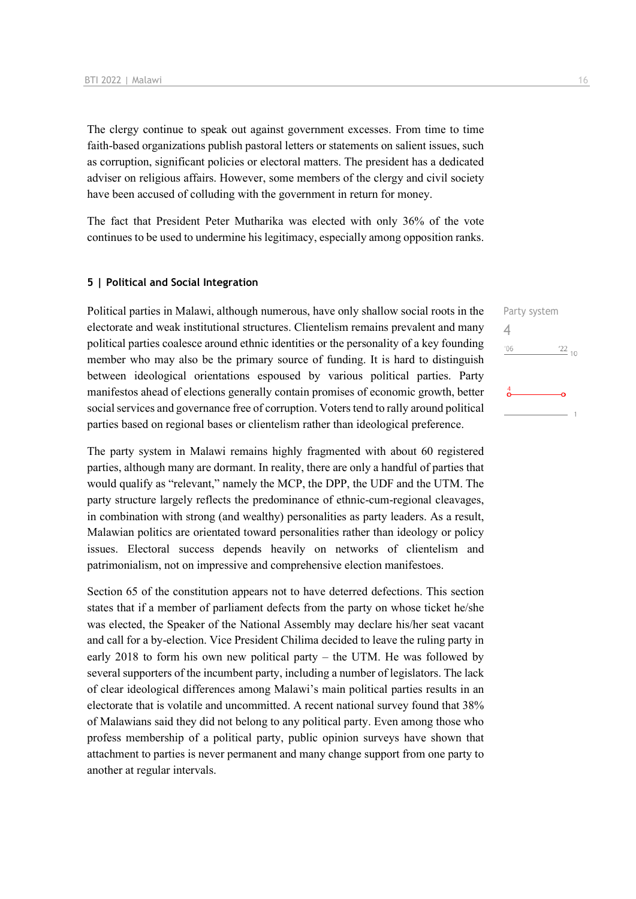The clergy continue to speak out against government excesses. From time to time faith-based organizations publish pastoral letters or statements on salient issues, such as corruption, significant policies or electoral matters. The president has a dedicated adviser on religious affairs. However, some members of the clergy and civil society have been accused of colluding with the government in return for money.

The fact that President Peter Mutharika was elected with only 36% of the vote continues to be used to undermine his legitimacy, especially among opposition ranks.

## **5 | Political and Social Integration**

Political parties in Malawi, although numerous, have only shallow social roots in the electorate and weak institutional structures. Clientelism remains prevalent and many political parties coalesce around ethnic identities or the personality of a key founding member who may also be the primary source of funding. It is hard to distinguish between ideological orientations espoused by various political parties. Party manifestos ahead of elections generally contain promises of economic growth, better social services and governance free of corruption. Voters tend to rally around political parties based on regional bases or clientelism rather than ideological preference.

The party system in Malawi remains highly fragmented with about 60 registered parties, although many are dormant. In reality, there are only a handful of parties that would qualify as "relevant," namely the MCP, the DPP, the UDF and the UTM. The party structure largely reflects the predominance of ethnic-cum-regional cleavages, in combination with strong (and wealthy) personalities as party leaders. As a result, Malawian politics are orientated toward personalities rather than ideology or policy issues. Electoral success depends heavily on networks of clientelism and patrimonialism, not on impressive and comprehensive election manifestoes.

Section 65 of the constitution appears not to have deterred defections. This section states that if a member of parliament defects from the party on whose ticket he/she was elected, the Speaker of the National Assembly may declare his/her seat vacant and call for a by-election. Vice President Chilima decided to leave the ruling party in early 2018 to form his own new political party – the UTM. He was followed by several supporters of the incumbent party, including a number of legislators. The lack of clear ideological differences among Malawi's main political parties results in an electorate that is volatile and uncommitted. A recent national survey found that 38% of Malawians said they did not belong to any political party. Even among those who profess membership of a political party, public opinion surveys have shown that attachment to parties is never permanent and many change support from one party to another at regular intervals.

Party system 4 $\frac{22}{10}$  $106$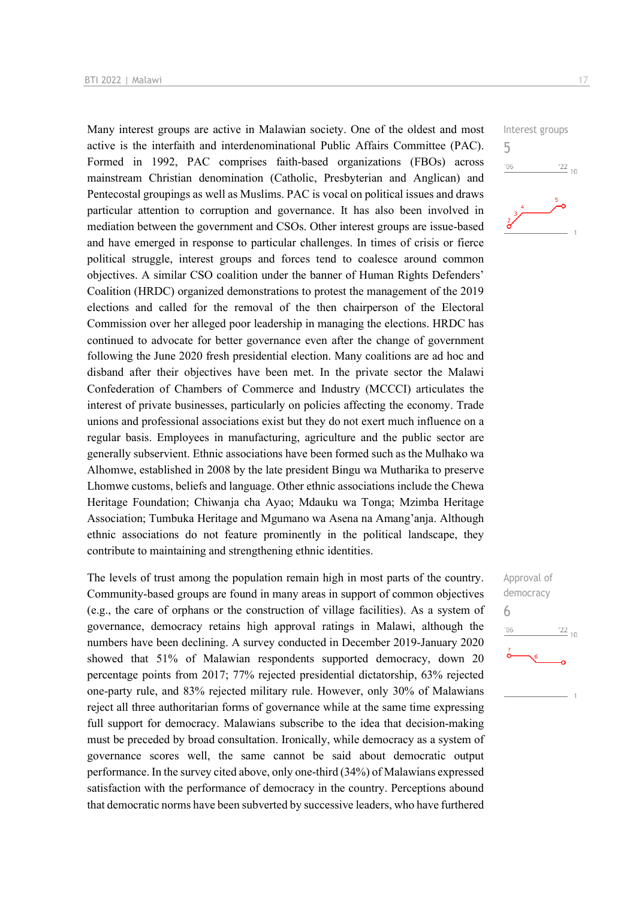Many interest groups are active in Malawian society. One of the oldest and most active is the interfaith and interdenominational Public Affairs Committee (PAC). Formed in 1992, PAC comprises faith-based organizations (FBOs) across mainstream Christian denomination (Catholic, Presbyterian and Anglican) and Pentecostal groupings as well as Muslims. PAC is vocal on political issues and draws particular attention to corruption and governance. It has also been involved in mediation between the government and CSOs. Other interest groups are issue-based and have emerged in response to particular challenges. In times of crisis or fierce political struggle, interest groups and forces tend to coalesce around common objectives. A similar CSO coalition under the banner of Human Rights Defenders' Coalition (HRDC) organized demonstrations to protest the management of the 2019 elections and called for the removal of the then chairperson of the Electoral Commission over her alleged poor leadership in managing the elections. HRDC has continued to advocate for better governance even after the change of government following the June 2020 fresh presidential election. Many coalitions are ad hoc and disband after their objectives have been met. In the private sector the Malawi Confederation of Chambers of Commerce and Industry (MCCCI) articulates the interest of private businesses, particularly on policies affecting the economy. Trade unions and professional associations exist but they do not exert much influence on a regular basis. Employees in manufacturing, agriculture and the public sector are generally subservient. Ethnic associations have been formed such as the Mulhako wa Alhomwe, established in 2008 by the late president Bingu wa Mutharika to preserve Lhomwe customs, beliefs and language. Other ethnic associations include the Chewa Heritage Foundation; Chiwanja cha Ayao; Mdauku wa Tonga; Mzimba Heritage Association; Tumbuka Heritage and Mgumano wa Asena na Amang'anja. Although ethnic associations do not feature prominently in the political landscape, they contribute to maintaining and strengthening ethnic identities.

The levels of trust among the population remain high in most parts of the country. Community-based groups are found in many areas in support of common objectives (e.g., the care of orphans or the construction of village facilities). As a system of governance, democracy retains high approval ratings in Malawi, although the numbers have been declining. A survey conducted in December 2019-January 2020 showed that 51% of Malawian respondents supported democracy, down 20 percentage points from 2017; 77% rejected presidential dictatorship, 63% rejected one-party rule, and 83% rejected military rule. However, only 30% of Malawians reject all three authoritarian forms of governance while at the same time expressing full support for democracy. Malawians subscribe to the idea that decision-making must be preceded by broad consultation. Ironically, while democracy as a system of governance scores well, the same cannot be said about democratic output performance. In the survey cited above, only one-third (34%) of Malawians expressed satisfaction with the performance of democracy in the country. Perceptions abound that democratic norms have been subverted by successive leaders, who have furthered

Interest groups 5  $06'$  $\frac{22}{10}$ 

Approval of democracy 6 $\frac{22}{10}$  $06'$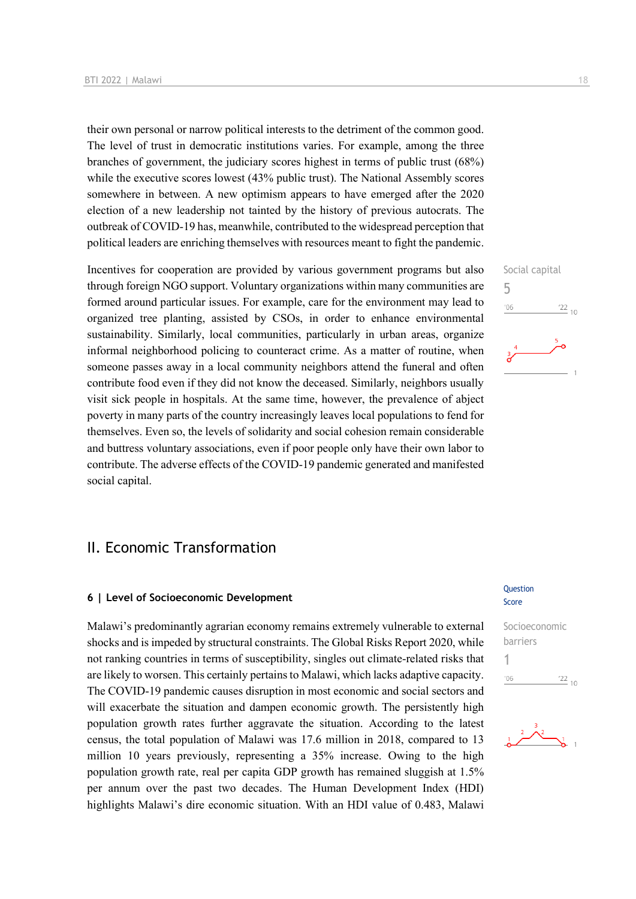their own personal or narrow political interests to the detriment of the common good. The level of trust in democratic institutions varies. For example, among the three branches of government, the judiciary scores highest in terms of public trust (68%) while the executive scores lowest (43% public trust). The National Assembly scores somewhere in between. A new optimism appears to have emerged after the 2020 election of a new leadership not tainted by the history of previous autocrats. The outbreak of COVID-19 has, meanwhile, contributed to the widespread perception that political leaders are enriching themselves with resources meant to fight the pandemic.

Incentives for cooperation are provided by various government programs but also through foreign NGO support. Voluntary organizations within many communities are formed around particular issues. For example, care for the environment may lead to organized tree planting, assisted by CSOs, in order to enhance environmental sustainability. Similarly, local communities, particularly in urban areas, organize informal neighborhood policing to counteract crime. As a matter of routine, when someone passes away in a local community neighbors attend the funeral and often contribute food even if they did not know the deceased. Similarly, neighbors usually visit sick people in hospitals. At the same time, however, the prevalence of abject poverty in many parts of the country increasingly leaves local populations to fend for themselves. Even so, the levels of solidarity and social cohesion remain considerable and buttress voluntary associations, even if poor people only have their own labor to contribute. The adverse effects of the COVID-19 pandemic generated and manifested social capital.

# II. Economic Transformation

# **6 | Level of Socioeconomic Development**

Malawi's predominantly agrarian economy remains extremely vulnerable to external shocks and is impeded by structural constraints. The Global Risks Report 2020, while not ranking countries in terms of susceptibility, singles out climate-related risks that are likely to worsen. This certainly pertains to Malawi, which lacks adaptive capacity. The COVID-19 pandemic causes disruption in most economic and social sectors and will exacerbate the situation and dampen economic growth. The persistently high population growth rates further aggravate the situation. According to the latest census, the total population of Malawi was 17.6 million in 2018, compared to 13 million 10 years previously, representing a 35% increase. Owing to the high population growth rate, real per capita GDP growth has remained sluggish at 1.5% per annum over the past two decades. The Human Development Index (HDI) highlights Malawi's dire economic situation. With an HDI value of 0.483, Malawi

# **Question** Score

Socioeconomic barriers 1 $\frac{22}{10}$  $n<sub>6</sub>$ 



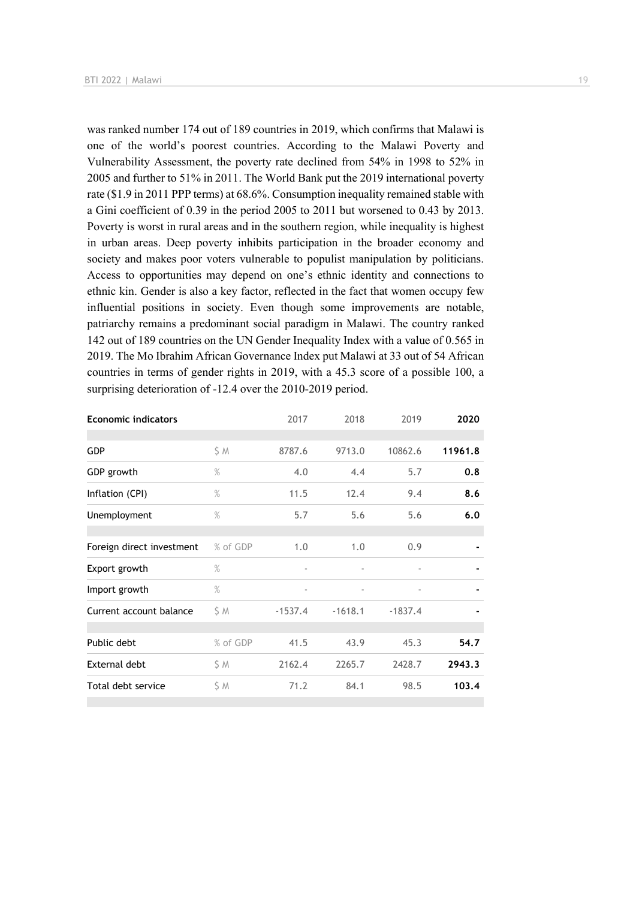was ranked number 174 out of 189 countries in 2019, which confirms that Malawi is one of the world's poorest countries. According to the Malawi Poverty and Vulnerability Assessment, the poverty rate declined from 54% in 1998 to 52% in 2005 and further to 51% in 2011. The World Bank put the 2019 international poverty rate (\$1.9 in 2011 PPP terms) at 68.6%. Consumption inequality remained stable with a Gini coefficient of 0.39 in the period 2005 to 2011 but worsened to 0.43 by 2013. Poverty is worst in rural areas and in the southern region, while inequality is highest in urban areas. Deep poverty inhibits participation in the broader economy and society and makes poor voters vulnerable to populist manipulation by politicians. Access to opportunities may depend on one's ethnic identity and connections to ethnic kin. Gender is also a key factor, reflected in the fact that women occupy few influential positions in society. Even though some improvements are notable, patriarchy remains a predominant social paradigm in Malawi. The country ranked 142 out of 189 countries on the UN Gender Inequality Index with a value of 0.565 in 2019. The Mo Ibrahim African Governance Index put Malawi at 33 out of 54 African countries in terms of gender rights in 2019, with a 45.3 score of a possible 100, a surprising deterioration of -12.4 over the 2010-2019 period.

| <b>Economic indicators</b> |               | 2017                     | 2018                     | 2019                     | 2020    |
|----------------------------|---------------|--------------------------|--------------------------|--------------------------|---------|
|                            |               |                          |                          |                          |         |
| <b>GDP</b>                 | \$ M          | 8787.6                   | 9713.0                   | 10862.6                  | 11961.8 |
| GDP growth                 | $\%$          | 4.0                      | 4.4                      | 5.7                      | 0.8     |
| Inflation (CPI)            | $\%$          | 11.5                     | 12.4                     | 9.4                      | 8.6     |
| Unemployment               | $\frac{9}{6}$ | 5.7                      | 5.6                      | 5.6                      | 6.0     |
|                            |               |                          |                          |                          |         |
| Foreign direct investment  | % of GDP      | 1.0                      | 1.0                      | 0.9                      |         |
| Export growth              | $\%$          | $\overline{\phantom{a}}$ |                          |                          |         |
| Import growth              | $\%$          | $\overline{\phantom{a}}$ | $\overline{\phantom{a}}$ | $\overline{\phantom{m}}$ |         |
| Current account balance    | SΜ            | $-1537.4$                | $-1618.1$                | $-1837.4$                |         |
|                            |               |                          |                          |                          |         |
| Public debt                | % of GDP      | 41.5                     | 43.9                     | 45.3                     | 54.7    |
| External debt              | ŞΜ            | 2162.4                   | 2265.7                   | 2428.7                   | 2943.3  |
| Total debt service         | \$ M          | 71.2                     | 84.1                     | 98.5                     | 103.4   |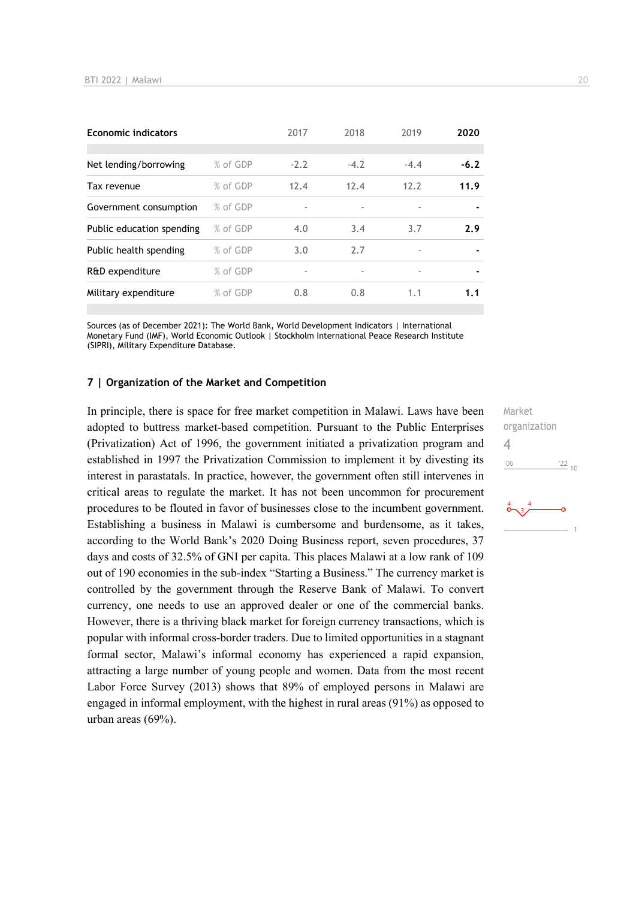| <b>Economic indicators</b> |          | 2017   | 2018   | 2019                     | 2020           |
|----------------------------|----------|--------|--------|--------------------------|----------------|
| Net lending/borrowing      | % of GDP | $-2.2$ | $-4.2$ | $-4.4$                   | $-6.2$         |
| Tax revenue                | % of GDP | 12.4   | 12.4   | 12.2                     | 11.9           |
| Government consumption     | % of GDP | ٠      |        | $\overline{\phantom{a}}$ |                |
| Public education spending  | % of GDP | 4.0    | 3.4    | 3.7                      | 2.9            |
| Public health spending     | % of GDP | 3.0    | 2.7    | ٠                        |                |
| R&D expenditure            | % of GDP | ٠      |        | $\overline{\phantom{a}}$ | $\blacksquare$ |
| Military expenditure       | % of GDP | 0.8    | 0.8    | 1.1                      | 1.1            |

Sources (as of December 2021): The World Bank, World Development Indicators | International Monetary Fund (IMF), World Economic Outlook | Stockholm International Peace Research Institute (SIPRI), Military Expenditure Database.

#### **7 | Organization of the Market and Competition**

In principle, there is space for free market competition in Malawi. Laws have been adopted to buttress market-based competition. Pursuant to the Public Enterprises (Privatization) Act of 1996, the government initiated a privatization program and established in 1997 the Privatization Commission to implement it by divesting its interest in parastatals. In practice, however, the government often still intervenes in critical areas to regulate the market. It has not been uncommon for procurement procedures to be flouted in favor of businesses close to the incumbent government. Establishing a business in Malawi is cumbersome and burdensome, as it takes, according to the World Bank's 2020 Doing Business report, seven procedures, 37 days and costs of 32.5% of GNI per capita. This places Malawi at a low rank of 109 out of 190 economies in the sub-index "Starting a Business." The currency market is controlled by the government through the Reserve Bank of Malawi. To convert currency, one needs to use an approved dealer or one of the commercial banks. However, there is a thriving black market for foreign currency transactions, which is popular with informal cross-border traders. Due to limited opportunities in a stagnant formal sector, Malawi's informal economy has experienced a rapid expansion, attracting a large number of young people and women. Data from the most recent Labor Force Survey (2013) shows that 89% of employed persons in Malawi are engaged in informal employment, with the highest in rural areas (91%) as opposed to urban areas (69%).

Market organization  $\Delta$  $-06$  $\frac{22}{10}$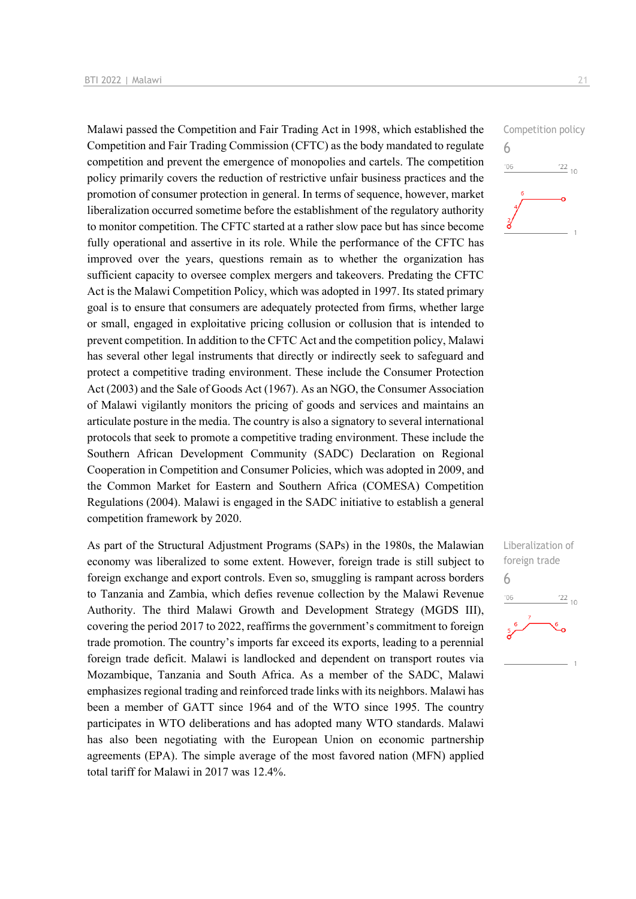Malawi passed the Competition and Fair Trading Act in 1998, which established the Competition and Fair Trading Commission (CFTC) as the body mandated to regulate competition and prevent the emergence of monopolies and cartels. The competition policy primarily covers the reduction of restrictive unfair business practices and the promotion of consumer protection in general. In terms of sequence, however, market liberalization occurred sometime before the establishment of the regulatory authority to monitor competition. The CFTC started at a rather slow pace but has since become fully operational and assertive in its role. While the performance of the CFTC has improved over the years, questions remain as to whether the organization has sufficient capacity to oversee complex mergers and takeovers. Predating the CFTC Act is the Malawi Competition Policy, which was adopted in 1997. Its stated primary goal is to ensure that consumers are adequately protected from firms, whether large or small, engaged in exploitative pricing collusion or collusion that is intended to prevent competition. In addition to the CFTC Act and the competition policy, Malawi has several other legal instruments that directly or indirectly seek to safeguard and protect a competitive trading environment. These include the Consumer Protection Act (2003) and the Sale of Goods Act (1967). As an NGO, the Consumer Association of Malawi vigilantly monitors the pricing of goods and services and maintains an articulate posture in the media. The country is also a signatory to several international protocols that seek to promote a competitive trading environment. These include the Southern African Development Community (SADC) Declaration on Regional Cooperation in Competition and Consumer Policies, which was adopted in 2009, and the Common Market for Eastern and Southern Africa (COMESA) Competition Regulations (2004). Malawi is engaged in the SADC initiative to establish a general competition framework by 2020.

As part of the Structural Adjustment Programs (SAPs) in the 1980s, the Malawian economy was liberalized to some extent. However, foreign trade is still subject to foreign exchange and export controls. Even so, smuggling is rampant across borders to Tanzania and Zambia, which defies revenue collection by the Malawi Revenue Authority. The third Malawi Growth and Development Strategy (MGDS III), covering the period 2017 to 2022, reaffirms the government's commitment to foreign trade promotion. The country's imports far exceed its exports, leading to a perennial foreign trade deficit. Malawi is landlocked and dependent on transport routes via Mozambique, Tanzania and South Africa. As a member of the SADC, Malawi emphasizes regional trading and reinforced trade links with its neighbors. Malawi has been a member of GATT since 1964 and of the WTO since 1995. The country participates in WTO deliberations and has adopted many WTO standards. Malawi has also been negotiating with the European Union on economic partnership agreements (EPA). The simple average of the most favored nation (MFN) applied total tariff for Malawi in 2017 was 12.4%.



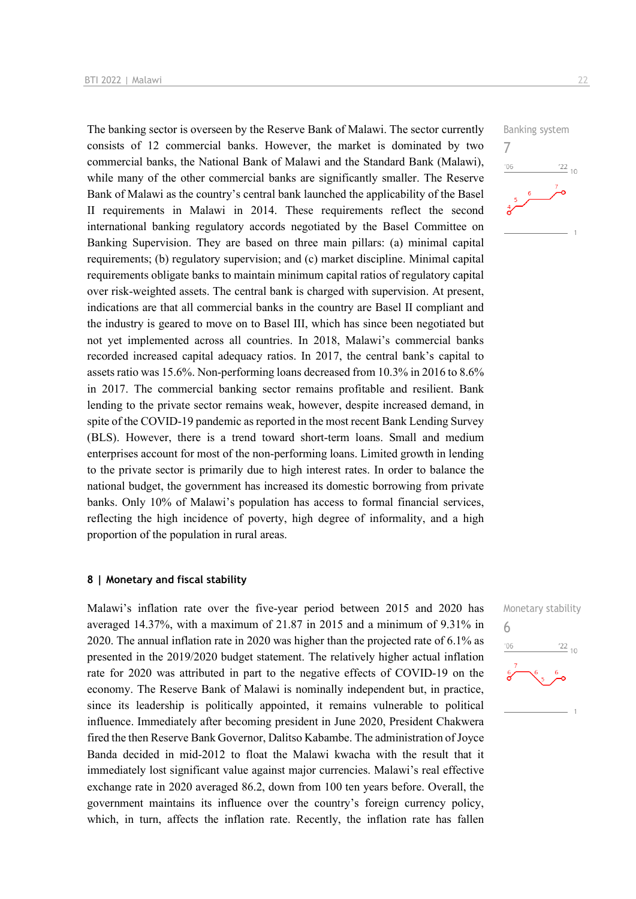The banking sector is overseen by the Reserve Bank of Malawi. The sector currently consists of 12 commercial banks. However, the market is dominated by two commercial banks, the National Bank of Malawi and the Standard Bank (Malawi), while many of the other commercial banks are significantly smaller. The Reserve Bank of Malawi as the country's central bank launched the applicability of the Basel II requirements in Malawi in 2014. These requirements reflect the second international banking regulatory accords negotiated by the Basel Committee on Banking Supervision. They are based on three main pillars: (a) minimal capital requirements; (b) regulatory supervision; and (c) market discipline. Minimal capital requirements obligate banks to maintain minimum capital ratios of regulatory capital over risk-weighted assets. The central bank is charged with supervision. At present, indications are that all commercial banks in the country are Basel II compliant and the industry is geared to move on to Basel III, which has since been negotiated but not yet implemented across all countries. In 2018, Malawi's commercial banks recorded increased capital adequacy ratios. In 2017, the central bank's capital to assets ratio was 15.6%. Non-performing loans decreased from 10.3% in 2016 to 8.6% in 2017. The commercial banking sector remains profitable and resilient. Bank lending to the private sector remains weak, however, despite increased demand, in spite of the COVID-19 pandemic as reported in the most recent Bank Lending Survey (BLS). However, there is a trend toward short-term loans. Small and medium enterprises account for most of the non-performing loans. Limited growth in lending to the private sector is primarily due to high interest rates. In order to balance the national budget, the government has increased its domestic borrowing from private banks. Only 10% of Malawi's population has access to formal financial services, reflecting the high incidence of poverty, high degree of informality, and a high proportion of the population in rural areas.

## **8 | Monetary and fiscal stability**

Malawi's inflation rate over the five-year period between 2015 and 2020 has averaged 14.37%, with a maximum of 21.87 in 2015 and a minimum of 9.31% in 2020. The annual inflation rate in 2020 was higher than the projected rate of 6.1% as presented in the 2019/2020 budget statement. The relatively higher actual inflation rate for 2020 was attributed in part to the negative effects of COVID-19 on the economy. The Reserve Bank of Malawi is nominally independent but, in practice, since its leadership is politically appointed, it remains vulnerable to political influence. Immediately after becoming president in June 2020, President Chakwera fired the then Reserve Bank Governor, Dalitso Kabambe. The administration of Joyce Banda decided in mid-2012 to float the Malawi kwacha with the result that it immediately lost significant value against major currencies. Malawi's real effective exchange rate in 2020 averaged 86.2, down from 100 ten years before. Overall, the government maintains its influence over the country's foreign currency policy, which, in turn, affects the inflation rate. Recently, the inflation rate has fallen



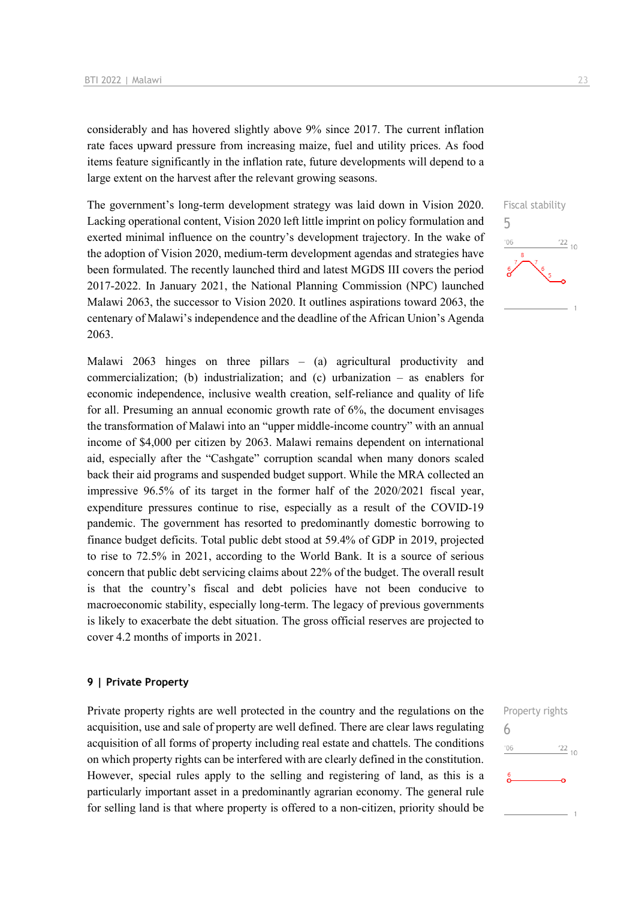considerably and has hovered slightly above 9% since 2017. The current inflation rate faces upward pressure from increasing maize, fuel and utility prices. As food items feature significantly in the inflation rate, future developments will depend to a large extent on the harvest after the relevant growing seasons.

The government's long-term development strategy was laid down in Vision 2020. Lacking operational content, Vision 2020 left little imprint on policy formulation and exerted minimal influence on the country's development trajectory. In the wake of the adoption of Vision 2020, medium-term development agendas and strategies have been formulated. The recently launched third and latest MGDS III covers the period 2017-2022. In January 2021, the National Planning Commission (NPC) launched Malawi 2063, the successor to Vision 2020. It outlines aspirations toward 2063, the centenary of Malawi's independence and the deadline of the African Union's Agenda 2063.

Malawi 2063 hinges on three pillars – (a) agricultural productivity and commercialization; (b) industrialization; and (c) urbanization – as enablers for economic independence, inclusive wealth creation, self-reliance and quality of life for all. Presuming an annual economic growth rate of 6%, the document envisages the transformation of Malawi into an "upper middle-income country" with an annual income of \$4,000 per citizen by 2063. Malawi remains dependent on international aid, especially after the "Cashgate" corruption scandal when many donors scaled back their aid programs and suspended budget support. While the MRA collected an impressive 96.5% of its target in the former half of the 2020/2021 fiscal year, expenditure pressures continue to rise, especially as a result of the COVID-19 pandemic. The government has resorted to predominantly domestic borrowing to finance budget deficits. Total public debt stood at 59.4% of GDP in 2019, projected to rise to 72.5% in 2021, according to the World Bank. It is a source of serious concern that public debt servicing claims about 22% of the budget. The overall result is that the country's fiscal and debt policies have not been conducive to macroeconomic stability, especially long-term. The legacy of previous governments is likely to exacerbate the debt situation. The gross official reserves are projected to cover 4.2 months of imports in 2021.

#### **9 | Private Property**

Private property rights are well protected in the country and the regulations on the acquisition, use and sale of property are well defined. There are clear laws regulating acquisition of all forms of property including real estate and chattels. The conditions on which property rights can be interfered with are clearly defined in the constitution. However, special rules apply to the selling and registering of land, as this is a particularly important asset in a predominantly agrarian economy. The general rule for selling land is that where property is offered to a non-citizen, priority should be



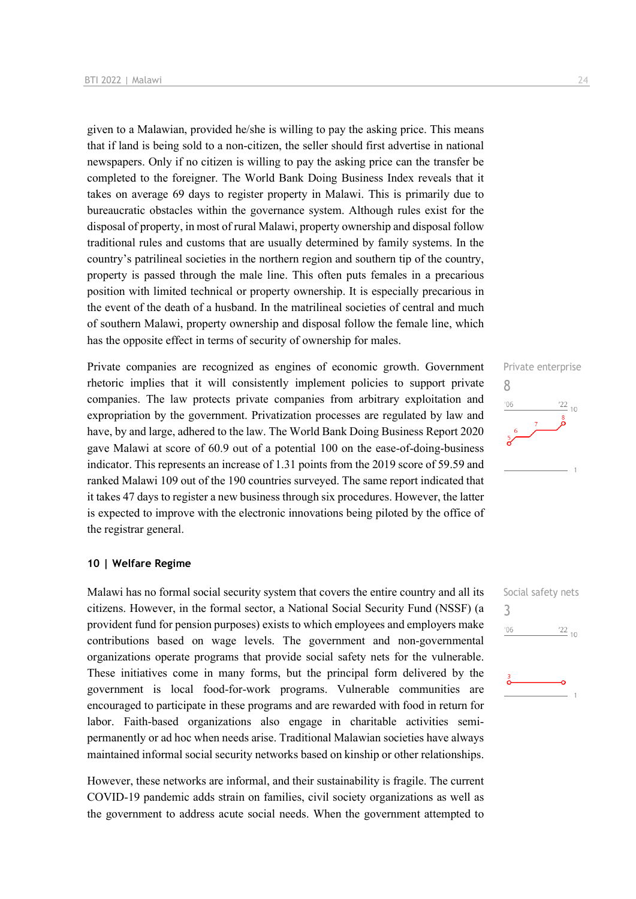given to a Malawian, provided he/she is willing to pay the asking price. This means that if land is being sold to a non-citizen, the seller should first advertise in national newspapers. Only if no citizen is willing to pay the asking price can the transfer be completed to the foreigner. The World Bank Doing Business Index reveals that it takes on average 69 days to register property in Malawi. This is primarily due to bureaucratic obstacles within the governance system. Although rules exist for the disposal of property, in most of rural Malawi, property ownership and disposal follow traditional rules and customs that are usually determined by family systems. In the country's patrilineal societies in the northern region and southern tip of the country, property is passed through the male line. This often puts females in a precarious position with limited technical or property ownership. It is especially precarious in the event of the death of a husband. In the matrilineal societies of central and much of southern Malawi, property ownership and disposal follow the female line, which has the opposite effect in terms of security of ownership for males.

Private companies are recognized as engines of economic growth. Government rhetoric implies that it will consistently implement policies to support private companies. The law protects private companies from arbitrary exploitation and expropriation by the government. Privatization processes are regulated by law and have, by and large, adhered to the law. The World Bank Doing Business Report 2020 gave Malawi at score of 60.9 out of a potential 100 on the ease-of-doing-business indicator. This represents an increase of 1.31 points from the 2019 score of 59.59 and ranked Malawi 109 out of the 190 countries surveyed. The same report indicated that it takes 47 days to register a new business through six procedures. However, the latter is expected to improve with the electronic innovations being piloted by the office of the registrar general.

# **10 | Welfare Regime**

Malawi has no formal social security system that covers the entire country and all its citizens. However, in the formal sector, a National Social Security Fund (NSSF) (a provident fund for pension purposes) exists to which employees and employers make contributions based on wage levels. The government and non-governmental organizations operate programs that provide social safety nets for the vulnerable. These initiatives come in many forms, but the principal form delivered by the government is local food-for-work programs. Vulnerable communities are encouraged to participate in these programs and are rewarded with food in return for labor. Faith-based organizations also engage in charitable activities semipermanently or ad hoc when needs arise. Traditional Malawian societies have always maintained informal social security networks based on kinship or other relationships.

However, these networks are informal, and their sustainability is fragile. The current COVID-19 pandemic adds strain on families, civil society organizations as well as the government to address acute social needs. When the government attempted to



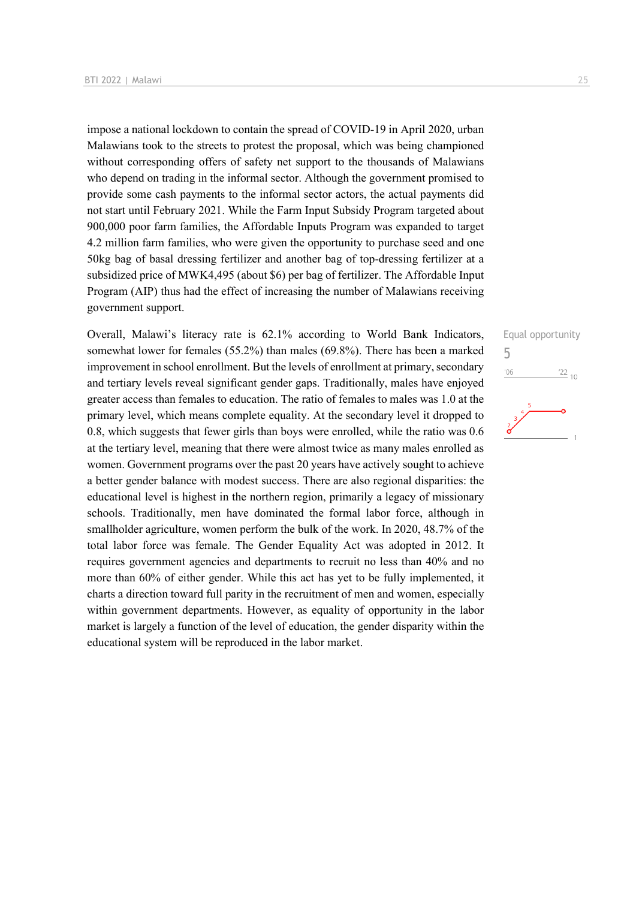impose a national lockdown to contain the spread of COVID-19 in April 2020, urban Malawians took to the streets to protest the proposal, which was being championed without corresponding offers of safety net support to the thousands of Malawians who depend on trading in the informal sector. Although the government promised to provide some cash payments to the informal sector actors, the actual payments did not start until February 2021. While the Farm Input Subsidy Program targeted about 900,000 poor farm families, the Affordable Inputs Program was expanded to target 4.2 million farm families, who were given the opportunity to purchase seed and one 50kg bag of basal dressing fertilizer and another bag of top-dressing fertilizer at a subsidized price of MWK4,495 (about \$6) per bag of fertilizer. The Affordable Input Program (AIP) thus had the effect of increasing the number of Malawians receiving government support.

Overall, Malawi's literacy rate is 62.1% according to World Bank Indicators, somewhat lower for females (55.2%) than males (69.8%). There has been a marked improvement in school enrollment. But the levels of enrollment at primary, secondary and tertiary levels reveal significant gender gaps. Traditionally, males have enjoyed greater access than females to education. The ratio of females to males was 1.0 at the primary level, which means complete equality. At the secondary level it dropped to 0.8, which suggests that fewer girls than boys were enrolled, while the ratio was 0.6 at the tertiary level, meaning that there were almost twice as many males enrolled as women. Government programs over the past 20 years have actively sought to achieve a better gender balance with modest success. There are also regional disparities: the educational level is highest in the northern region, primarily a legacy of missionary schools. Traditionally, men have dominated the formal labor force, although in smallholder agriculture, women perform the bulk of the work. In 2020, 48.7% of the total labor force was female. The Gender Equality Act was adopted in 2012. It requires government agencies and departments to recruit no less than 40% and no more than 60% of either gender. While this act has yet to be fully implemented, it charts a direction toward full parity in the recruitment of men and women, especially within government departments. However, as equality of opportunity in the labor market is largely a function of the level of education, the gender disparity within the educational system will be reproduced in the labor market.

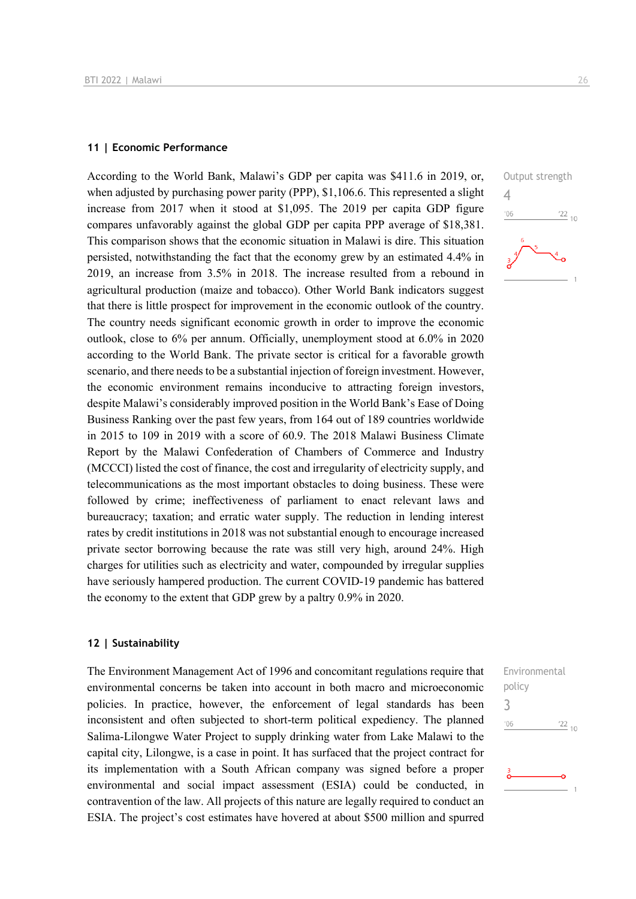#### **11 | Economic Performance**

According to the World Bank, Malawi's GDP per capita was \$411.6 in 2019, or, when adjusted by purchasing power parity (PPP), \$1,106.6. This represented a slight increase from 2017 when it stood at \$1,095. The 2019 per capita GDP figure compares unfavorably against the global GDP per capita PPP average of \$18,381. This comparison shows that the economic situation in Malawi is dire. This situation persisted, notwithstanding the fact that the economy grew by an estimated 4.4% in 2019, an increase from 3.5% in 2018. The increase resulted from a rebound in agricultural production (maize and tobacco). Other World Bank indicators suggest that there is little prospect for improvement in the economic outlook of the country. The country needs significant economic growth in order to improve the economic outlook, close to 6% per annum. Officially, unemployment stood at 6.0% in 2020 according to the World Bank. The private sector is critical for a favorable growth scenario, and there needs to be a substantial injection of foreign investment. However, the economic environment remains inconducive to attracting foreign investors, despite Malawi's considerably improved position in the World Bank's Ease of Doing Business Ranking over the past few years, from 164 out of 189 countries worldwide in 2015 to 109 in 2019 with a score of 60.9. The 2018 Malawi Business Climate Report by the Malawi Confederation of Chambers of Commerce and Industry (MCCCI) listed the cost of finance, the cost and irregularity of electricity supply, and telecommunications as the most important obstacles to doing business. These were followed by crime; ineffectiveness of parliament to enact relevant laws and bureaucracy; taxation; and erratic water supply. The reduction in lending interest rates by credit institutions in 2018 was not substantial enough to encourage increased private sector borrowing because the rate was still very high, around 24%. High charges for utilities such as electricity and water, compounded by irregular supplies have seriously hampered production. The current COVID-19 pandemic has battered the economy to the extent that GDP grew by a paltry 0.9% in 2020.

#### **12 | Sustainability**

The Environment Management Act of 1996 and concomitant regulations require that environmental concerns be taken into account in both macro and microeconomic policies. In practice, however, the enforcement of legal standards has been inconsistent and often subjected to short-term political expediency. The planned Salima-Lilongwe Water Project to supply drinking water from Lake Malawi to the capital city, Lilongwe, is a case in point. It has surfaced that the project contract for its implementation with a South African company was signed before a proper environmental and social impact assessment (ESIA) could be conducted, in contravention of the law. All projects of this nature are legally required to conduct an ESIA. The project's cost estimates have hovered at about \$500 million and spurred



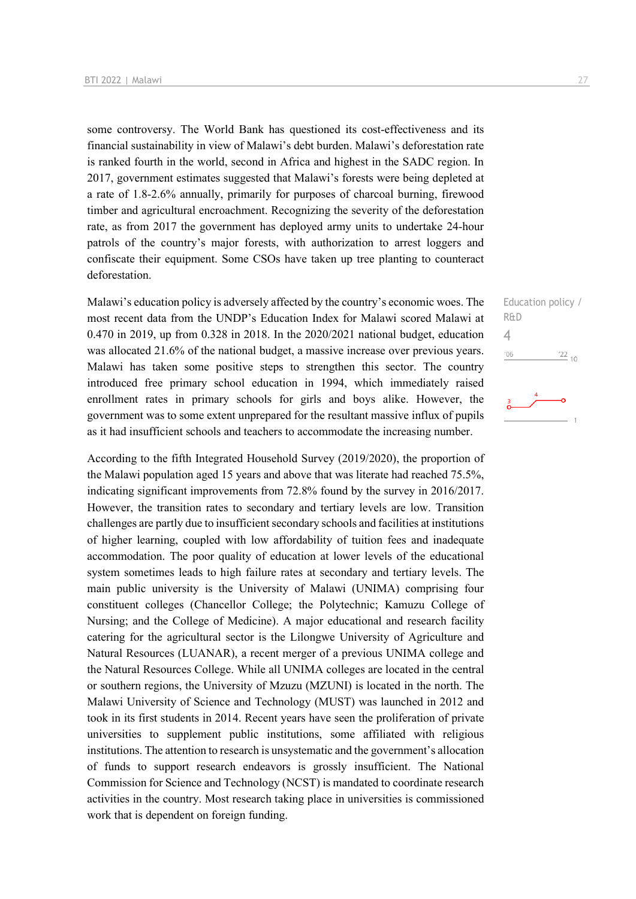some controversy. The World Bank has questioned its cost-effectiveness and its financial sustainability in view of Malawi's debt burden. Malawi's deforestation rate is ranked fourth in the world, second in Africa and highest in the SADC region. In 2017, government estimates suggested that Malawi's forests were being depleted at a rate of 1.8-2.6% annually, primarily for purposes of charcoal burning, firewood timber and agricultural encroachment. Recognizing the severity of the deforestation rate, as from 2017 the government has deployed army units to undertake 24-hour patrols of the country's major forests, with authorization to arrest loggers and confiscate their equipment. Some CSOs have taken up tree planting to counteract deforestation.

Malawi's education policy is adversely affected by the country's economic woes. The most recent data from the UNDP's Education Index for Malawi scored Malawi at 0.470 in 2019, up from 0.328 in 2018. In the 2020/2021 national budget, education was allocated 21.6% of the national budget, a massive increase over previous years. Malawi has taken some positive steps to strengthen this sector. The country introduced free primary school education in 1994, which immediately raised enrollment rates in primary schools for girls and boys alike. However, the government was to some extent unprepared for the resultant massive influx of pupils as it had insufficient schools and teachers to accommodate the increasing number.

According to the fifth Integrated Household Survey (2019/2020), the proportion of the Malawi population aged 15 years and above that was literate had reached 75.5%, indicating significant improvements from 72.8% found by the survey in 2016/2017. However, the transition rates to secondary and tertiary levels are low. Transition challenges are partly due to insufficient secondary schools and facilities at institutions of higher learning, coupled with low affordability of tuition fees and inadequate accommodation. The poor quality of education at lower levels of the educational system sometimes leads to high failure rates at secondary and tertiary levels. The main public university is the University of Malawi (UNIMA) comprising four constituent colleges (Chancellor College; the Polytechnic; Kamuzu College of Nursing; and the College of Medicine). A major educational and research facility catering for the agricultural sector is the Lilongwe University of Agriculture and Natural Resources (LUANAR), a recent merger of a previous UNIMA college and the Natural Resources College. While all UNIMA colleges are located in the central or southern regions, the University of Mzuzu (MZUNI) is located in the north. The Malawi University of Science and Technology (MUST) was launched in 2012 and took in its first students in 2014. Recent years have seen the proliferation of private universities to supplement public institutions, some affiliated with religious institutions. The attention to research is unsystematic and the government's allocation of funds to support research endeavors is grossly insufficient. The National Commission for Science and Technology (NCST) is mandated to coordinate research activities in the country. Most research taking place in universities is commissioned work that is dependent on foreign funding.

Education policy / R&D  $\Delta$  $\frac{22}{10}$  $^{\prime}06$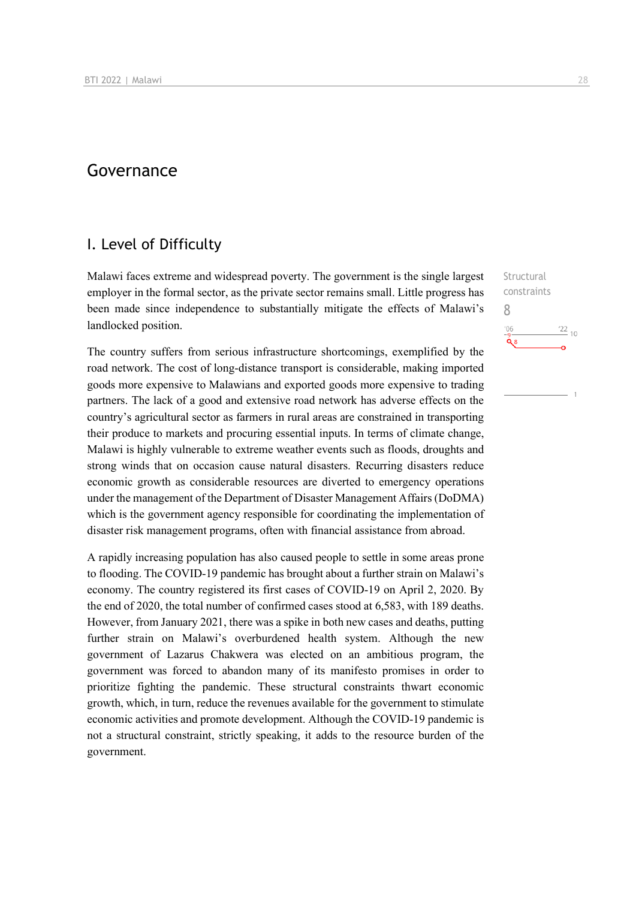# Governance

# I. Level of Difficulty

Malawi faces extreme and widespread poverty. The government is the single largest employer in the formal sector, as the private sector remains small. Little progress has been made since independence to substantially mitigate the effects of Malawi's landlocked position.

The country suffers from serious infrastructure shortcomings, exemplified by the road network. The cost of long-distance transport is considerable, making imported goods more expensive to Malawians and exported goods more expensive to trading partners. The lack of a good and extensive road network has adverse effects on the country's agricultural sector as farmers in rural areas are constrained in transporting their produce to markets and procuring essential inputs. In terms of climate change, Malawi is highly vulnerable to extreme weather events such as floods, droughts and strong winds that on occasion cause natural disasters. Recurring disasters reduce economic growth as considerable resources are diverted to emergency operations under the management of the Department of Disaster Management Affairs (DoDMA) which is the government agency responsible for coordinating the implementation of disaster risk management programs, often with financial assistance from abroad.

A rapidly increasing population has also caused people to settle in some areas prone to flooding. The COVID-19 pandemic has brought about a further strain on Malawi's economy. The country registered its first cases of COVID-19 on April 2, 2020. By the end of 2020, the total number of confirmed cases stood at 6,583, with 189 deaths. However, from January 2021, there was a spike in both new cases and deaths, putting further strain on Malawi's overburdened health system. Although the new government of Lazarus Chakwera was elected on an ambitious program, the government was forced to abandon many of its manifesto promises in order to prioritize fighting the pandemic. These structural constraints thwart economic growth, which, in turn, reduce the revenues available for the government to stimulate economic activities and promote development. Although the COVID-19 pandemic is not a structural constraint, strictly speaking, it adds to the resource burden of the government.

Structural constraints 8 $\frac{22}{10}$  $106$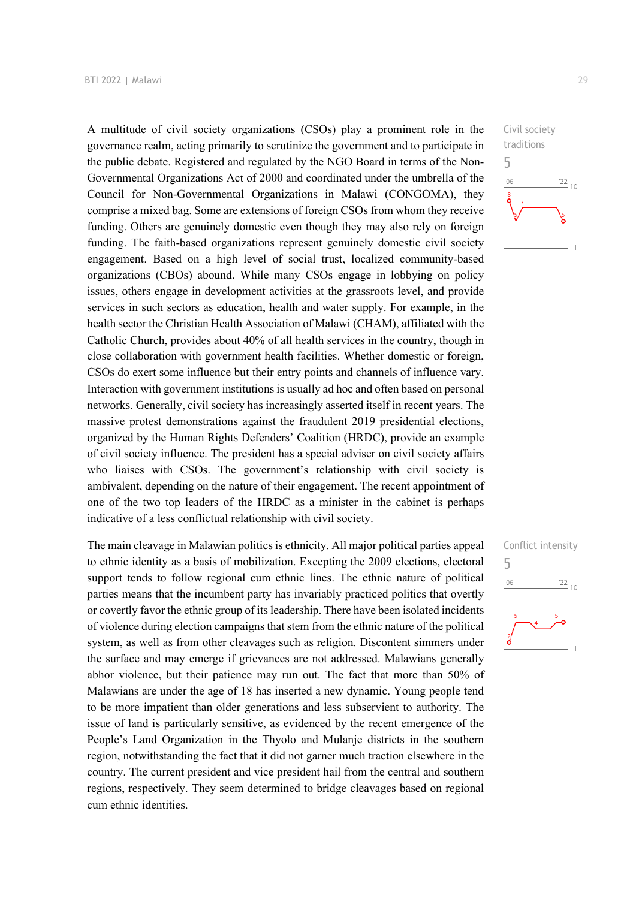A multitude of civil society organizations (CSOs) play a prominent role in the governance realm, acting primarily to scrutinize the government and to participate in the public debate. Registered and regulated by the NGO Board in terms of the Non-Governmental Organizations Act of 2000 and coordinated under the umbrella of the Council for Non-Governmental Organizations in Malawi (CONGOMA), they comprise a mixed bag. Some are extensions of foreign CSOs from whom they receive funding. Others are genuinely domestic even though they may also rely on foreign funding. The faith-based organizations represent genuinely domestic civil society engagement. Based on a high level of social trust, localized community-based organizations (CBOs) abound. While many CSOs engage in lobbying on policy issues, others engage in development activities at the grassroots level, and provide services in such sectors as education, health and water supply. For example, in the health sector the Christian Health Association of Malawi (CHAM), affiliated with the Catholic Church, provides about 40% of all health services in the country, though in close collaboration with government health facilities. Whether domestic or foreign, CSOs do exert some influence but their entry points and channels of influence vary. Interaction with government institutions is usually ad hoc and often based on personal networks. Generally, civil society has increasingly asserted itself in recent years. The massive protest demonstrations against the fraudulent 2019 presidential elections, organized by the Human Rights Defenders' Coalition (HRDC), provide an example of civil society influence. The president has a special adviser on civil society affairs who liaises with CSOs. The government's relationship with civil society is ambivalent, depending on the nature of their engagement. The recent appointment of one of the two top leaders of the HRDC as a minister in the cabinet is perhaps indicative of a less conflictual relationship with civil society.

The main cleavage in Malawian politics is ethnicity. All major political parties appeal to ethnic identity as a basis of mobilization. Excepting the 2009 elections, electoral support tends to follow regional cum ethnic lines. The ethnic nature of political parties means that the incumbent party has invariably practiced politics that overtly or covertly favor the ethnic group of its leadership. There have been isolated incidents of violence during election campaigns that stem from the ethnic nature of the political system, as well as from other cleavages such as religion. Discontent simmers under the surface and may emerge if grievances are not addressed. Malawians generally abhor violence, but their patience may run out. The fact that more than 50% of Malawians are under the age of 18 has inserted a new dynamic. Young people tend to be more impatient than older generations and less subservient to authority. The issue of land is particularly sensitive, as evidenced by the recent emergence of the People's Land Organization in the Thyolo and Mulanje districts in the southern region, notwithstanding the fact that it did not garner much traction elsewhere in the country. The current president and vice president hail from the central and southern regions, respectively. They seem determined to bridge cleavages based on regional cum ethnic identities.





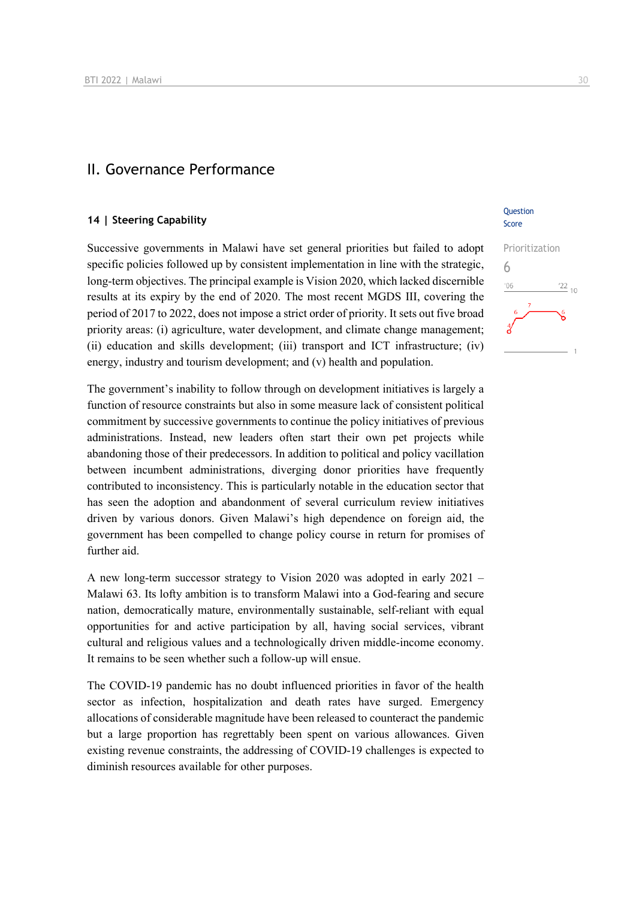# II. Governance Performance

# **14 | Steering Capability**

Successive governments in Malawi have set general priorities but failed to adopt specific policies followed up by consistent implementation in line with the strategic, long-term objectives. The principal example is Vision 2020, which lacked discernible results at its expiry by the end of 2020. The most recent MGDS III, covering the period of 2017 to 2022, does not impose a strict order of priority. It sets out five broad priority areas: (i) agriculture, water development, and climate change management; (ii) education and skills development; (iii) transport and ICT infrastructure; (iv) energy, industry and tourism development; and (v) health and population.

The government's inability to follow through on development initiatives is largely a function of resource constraints but also in some measure lack of consistent political commitment by successive governments to continue the policy initiatives of previous administrations. Instead, new leaders often start their own pet projects while abandoning those of their predecessors. In addition to political and policy vacillation between incumbent administrations, diverging donor priorities have frequently contributed to inconsistency. This is particularly notable in the education sector that has seen the adoption and abandonment of several curriculum review initiatives driven by various donors. Given Malawi's high dependence on foreign aid, the government has been compelled to change policy course in return for promises of further aid.

A new long-term successor strategy to Vision 2020 was adopted in early 2021 – Malawi 63. Its lofty ambition is to transform Malawi into a God-fearing and secure nation, democratically mature, environmentally sustainable, self-reliant with equal opportunities for and active participation by all, having social services, vibrant cultural and religious values and a technologically driven middle-income economy. It remains to be seen whether such a follow-up will ensue.

The COVID-19 pandemic has no doubt influenced priorities in favor of the health sector as infection, hospitalization and death rates have surged. Emergency allocations of considerable magnitude have been released to counteract the pandemic but a large proportion has regrettably been spent on various allowances. Given existing revenue constraints, the addressing of COVID-19 challenges is expected to diminish resources available for other purposes.

# **Ouestion** Score

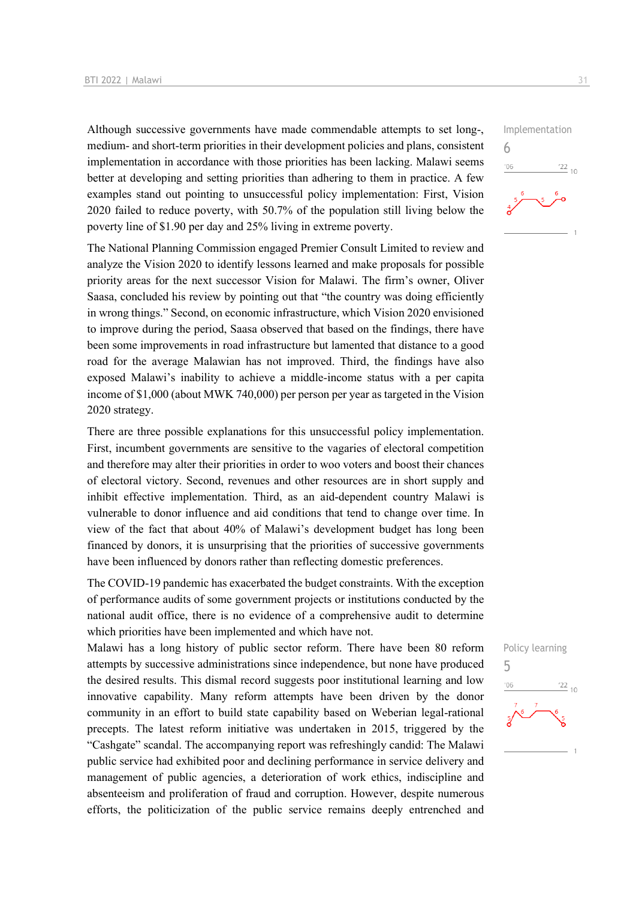Although successive governments have made commendable attempts to set long-, medium- and short-term priorities in their development policies and plans, consistent implementation in accordance with those priorities has been lacking. Malawi seems better at developing and setting priorities than adhering to them in practice. A few examples stand out pointing to unsuccessful policy implementation: First, Vision 2020 failed to reduce poverty, with 50.7% of the population still living below the poverty line of \$1.90 per day and 25% living in extreme poverty.

The National Planning Commission engaged Premier Consult Limited to review and analyze the Vision 2020 to identify lessons learned and make proposals for possible priority areas for the next successor Vision for Malawi. The firm's owner, Oliver Saasa, concluded his review by pointing out that "the country was doing efficiently in wrong things." Second, on economic infrastructure, which Vision 2020 envisioned to improve during the period, Saasa observed that based on the findings, there have been some improvements in road infrastructure but lamented that distance to a good road for the average Malawian has not improved. Third, the findings have also exposed Malawi's inability to achieve a middle-income status with a per capita income of \$1,000 (about MWK 740,000) per person per year as targeted in the Vision 2020 strategy.

There are three possible explanations for this unsuccessful policy implementation. First, incumbent governments are sensitive to the vagaries of electoral competition and therefore may alter their priorities in order to woo voters and boost their chances of electoral victory. Second, revenues and other resources are in short supply and inhibit effective implementation. Third, as an aid-dependent country Malawi is vulnerable to donor influence and aid conditions that tend to change over time. In view of the fact that about 40% of Malawi's development budget has long been financed by donors, it is unsurprising that the priorities of successive governments have been influenced by donors rather than reflecting domestic preferences.

The COVID-19 pandemic has exacerbated the budget constraints. With the exception of performance audits of some government projects or institutions conducted by the national audit office, there is no evidence of a comprehensive audit to determine which priorities have been implemented and which have not.

Malawi has a long history of public sector reform. There have been 80 reform attempts by successive administrations since independence, but none have produced the desired results. This dismal record suggests poor institutional learning and low innovative capability. Many reform attempts have been driven by the donor community in an effort to build state capability based on Weberian legal-rational precepts. The latest reform initiative was undertaken in 2015, triggered by the "Cashgate" scandal. The accompanying report was refreshingly candid: The Malawi public service had exhibited poor and declining performance in service delivery and management of public agencies, a deterioration of work ethics, indiscipline and absenteeism and proliferation of fraud and corruption. However, despite numerous efforts, the politicization of the public service remains deeply entrenched and



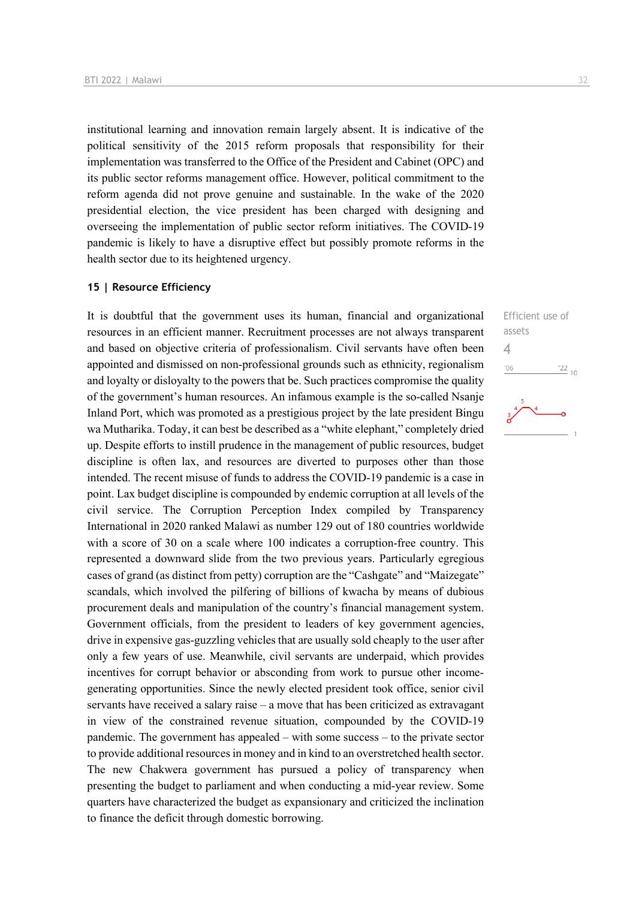institutional learning and innovation remain largely absent. It is indicative of the political sensitivity of the 2015 reform proposals that responsibility for their implementation was transferred to the Office of the President and Cabinet (OPC) and its public sector reforms management office. However, political commitment to the reform agenda did not prove genuine and sustainable. In the wake of the 2020 presidential election, the vice president has been charged with designing and overseeing the implementation of public sector reform initiatives. The COVID-19 pandemic is likely to have a disruptive effect but possibly promote reforms in the health sector due to its heightened urgency.

## **15 | Resource Efficiency**

It is doubtful that the government uses its human, financial and organizational resources in an efficient manner. Recruitment processes are not always transparent and based on objective criteria of professionalism. Civil servants have often been appointed and dismissed on non-professional grounds such as ethnicity, regionalism and loyalty or disloyalty to the powers that be. Such practices compromise the quality of the government's human resources. An infamous example is the so-called Nsanje Inland Port, which was promoted as a prestigious project by the late president Bingu wa Mutharika. Today, it can best be described as a "white elephant," completely dried up. Despite efforts to instill prudence in the management of public resources, budget discipline is often lax, and resources are diverted to purposes other than those intended. The recent misuse of funds to address the COVID-19 pandemic is a case in point. Lax budget discipline is compounded by endemic corruption at all levels of the civil service. The Corruption Perception Index compiled by Transparency International in 2020 ranked Malawi as number 129 out of 180 countries worldwide with a score of 30 on a scale where 100 indicates a corruption-free country. This represented a downward slide from the two previous years. Particularly egregious cases of grand (as distinct from petty) corruption are the "Cashgate" and "Maizegate" scandals, which involved the pilfering of billions of kwacha by means of dubious procurement deals and manipulation of the country's financial management system. Government officials, from the president to leaders of key government agencies, drive in expensive gas-guzzling vehicles that are usually sold cheaply to the user after only a few years of use. Meanwhile, civil servants are underpaid, which provides incentives for corrupt behavior or absconding from work to pursue other incomegenerating opportunities. Since the newly elected president took office, senior civil servants have received a salary raise – a move that has been criticized as extravagant in view of the constrained revenue situation, compounded by the COVID-19 pandemic. The government has appealed – with some success – to the private sector to provide additional resources in money and in kind to an overstretched health sector. The new Chakwera government has pursued a policy of transparency when presenting the budget to parliament and when conducting a mid-year review. Some quarters have characterized the budget as expansionary and criticized the inclination to finance the deficit through domestic borrowing.

Efficient use of assets 4 $-06$  $\frac{22}{10}$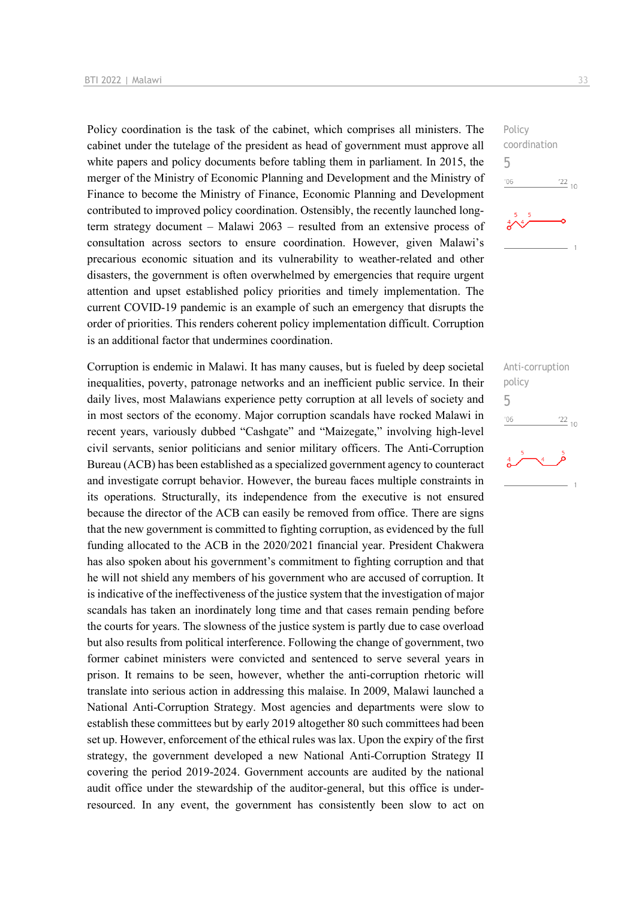Policy coordination is the task of the cabinet, which comprises all ministers. The cabinet under the tutelage of the president as head of government must approve all white papers and policy documents before tabling them in parliament. In 2015, the merger of the Ministry of Economic Planning and Development and the Ministry of Finance to become the Ministry of Finance, Economic Planning and Development contributed to improved policy coordination. Ostensibly, the recently launched longterm strategy document – Malawi 2063 – resulted from an extensive process of consultation across sectors to ensure coordination. However, given Malawi's precarious economic situation and its vulnerability to weather-related and other disasters, the government is often overwhelmed by emergencies that require urgent attention and upset established policy priorities and timely implementation. The current COVID-19 pandemic is an example of such an emergency that disrupts the order of priorities. This renders coherent policy implementation difficult. Corruption is an additional factor that undermines coordination.

Corruption is endemic in Malawi. It has many causes, but is fueled by deep societal inequalities, poverty, patronage networks and an inefficient public service. In their daily lives, most Malawians experience petty corruption at all levels of society and in most sectors of the economy. Major corruption scandals have rocked Malawi in recent years, variously dubbed "Cashgate" and "Maizegate," involving high-level civil servants, senior politicians and senior military officers. The Anti-Corruption Bureau (ACB) has been established as a specialized government agency to counteract and investigate corrupt behavior. However, the bureau faces multiple constraints in its operations. Structurally, its independence from the executive is not ensured because the director of the ACB can easily be removed from office. There are signs that the new government is committed to fighting corruption, as evidenced by the full funding allocated to the ACB in the 2020/2021 financial year. President Chakwera has also spoken about his government's commitment to fighting corruption and that he will not shield any members of his government who are accused of corruption. It is indicative of the ineffectiveness of the justice system that the investigation of major scandals has taken an inordinately long time and that cases remain pending before the courts for years. The slowness of the justice system is partly due to case overload but also results from political interference. Following the change of government, two former cabinet ministers were convicted and sentenced to serve several years in prison. It remains to be seen, however, whether the anti-corruption rhetoric will translate into serious action in addressing this malaise. In 2009, Malawi launched a National Anti-Corruption Strategy. Most agencies and departments were slow to establish these committees but by early 2019 altogether 80 such committees had been set up. However, enforcement of the ethical rules was lax. Upon the expiry of the first strategy, the government developed a new National Anti-Corruption Strategy II covering the period 2019-2024. Government accounts are audited by the national audit office under the stewardship of the auditor-general, but this office is underresourced. In any event, the government has consistently been slow to act on



Anti-corruption policy 5 $\frac{22}{10}$  $-06$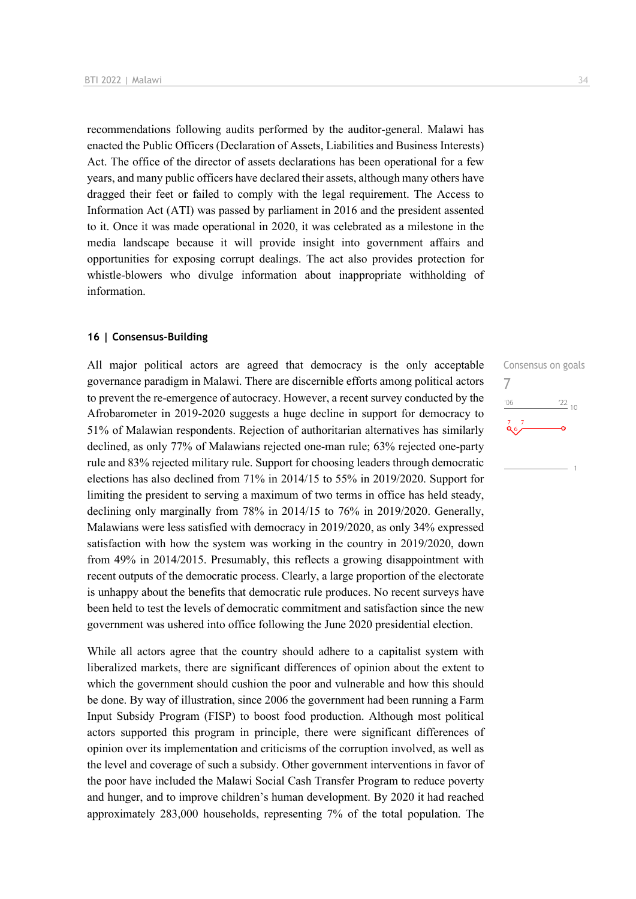recommendations following audits performed by the auditor-general. Malawi has enacted the Public Officers (Declaration of Assets, Liabilities and Business Interests) Act. The office of the director of assets declarations has been operational for a few years, and many public officers have declared their assets, although many others have dragged their feet or failed to comply with the legal requirement. The Access to Information Act (ATI) was passed by parliament in 2016 and the president assented to it. Once it was made operational in 2020, it was celebrated as a milestone in the media landscape because it will provide insight into government affairs and opportunities for exposing corrupt dealings. The act also provides protection for whistle-blowers who divulge information about inappropriate withholding of information.

# **16 | Consensus-Building**

All major political actors are agreed that democracy is the only acceptable governance paradigm in Malawi. There are discernible efforts among political actors to prevent the re-emergence of autocracy. However, a recent survey conducted by the Afrobarometer in 2019-2020 suggests a huge decline in support for democracy to 51% of Malawian respondents. Rejection of authoritarian alternatives has similarly declined, as only 77% of Malawians rejected one-man rule; 63% rejected one-party rule and 83% rejected military rule. Support for choosing leaders through democratic elections has also declined from 71% in 2014/15 to 55% in 2019/2020. Support for limiting the president to serving a maximum of two terms in office has held steady, declining only marginally from 78% in 2014/15 to 76% in 2019/2020. Generally, Malawians were less satisfied with democracy in 2019/2020, as only 34% expressed satisfaction with how the system was working in the country in 2019/2020, down from 49% in 2014/2015. Presumably, this reflects a growing disappointment with recent outputs of the democratic process. Clearly, a large proportion of the electorate is unhappy about the benefits that democratic rule produces. No recent surveys have been held to test the levels of democratic commitment and satisfaction since the new government was ushered into office following the June 2020 presidential election.

While all actors agree that the country should adhere to a capitalist system with liberalized markets, there are significant differences of opinion about the extent to which the government should cushion the poor and vulnerable and how this should be done. By way of illustration, since 2006 the government had been running a Farm Input Subsidy Program (FISP) to boost food production. Although most political actors supported this program in principle, there were significant differences of opinion over its implementation and criticisms of the corruption involved, as well as the level and coverage of such a subsidy. Other government interventions in favor of the poor have included the Malawi Social Cash Transfer Program to reduce poverty and hunger, and to improve children's human development. By 2020 it had reached approximately 283,000 households, representing 7% of the total population. The

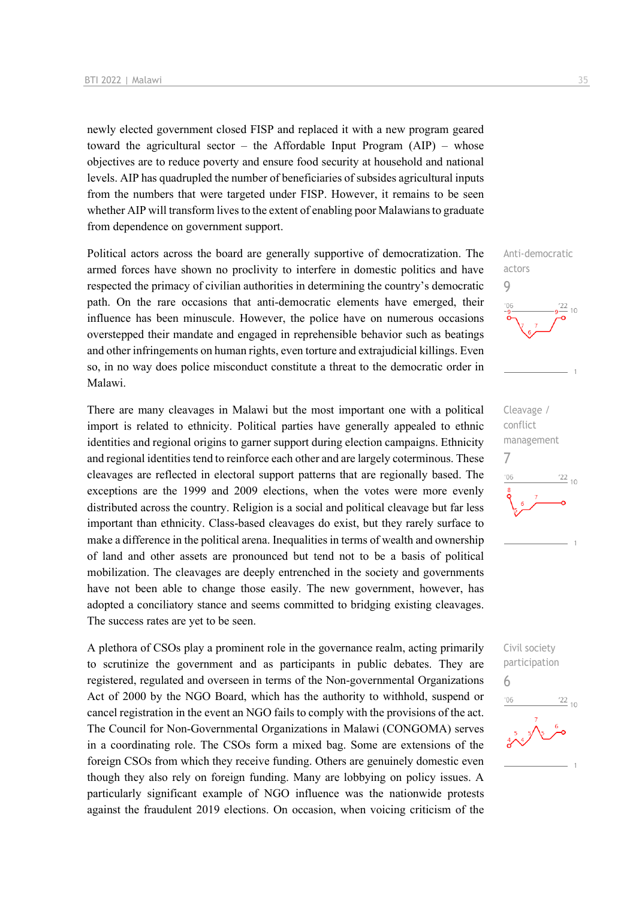newly elected government closed FISP and replaced it with a new program geared toward the agricultural sector – the Affordable Input Program  $(AIP)$  – whose objectives are to reduce poverty and ensure food security at household and national levels. AIP has quadrupled the number of beneficiaries of subsides agricultural inputs from the numbers that were targeted under FISP. However, it remains to be seen whether AIP will transform lives to the extent of enabling poor Malawians to graduate from dependence on government support.

Political actors across the board are generally supportive of democratization. The armed forces have shown no proclivity to interfere in domestic politics and have respected the primacy of civilian authorities in determining the country's democratic path. On the rare occasions that anti-democratic elements have emerged, their influence has been minuscule. However, the police have on numerous occasions overstepped their mandate and engaged in reprehensible behavior such as beatings and other infringements on human rights, even torture and extrajudicial killings. Even so, in no way does police misconduct constitute a threat to the democratic order in Malawi.

There are many cleavages in Malawi but the most important one with a political import is related to ethnicity. Political parties have generally appealed to ethnic identities and regional origins to garner support during election campaigns. Ethnicity and regional identities tend to reinforce each other and are largely coterminous. These cleavages are reflected in electoral support patterns that are regionally based. The exceptions are the 1999 and 2009 elections, when the votes were more evenly distributed across the country. Religion is a social and political cleavage but far less important than ethnicity. Class-based cleavages do exist, but they rarely surface to make a difference in the political arena. Inequalities in terms of wealth and ownership of land and other assets are pronounced but tend not to be a basis of political mobilization. The cleavages are deeply entrenched in the society and governments have not been able to change those easily. The new government, however, has adopted a conciliatory stance and seems committed to bridging existing cleavages. The success rates are yet to be seen.

A plethora of CSOs play a prominent role in the governance realm, acting primarily to scrutinize the government and as participants in public debates. They are registered, regulated and overseen in terms of the Non-governmental Organizations Act of 2000 by the NGO Board, which has the authority to withhold, suspend or cancel registration in the event an NGO fails to comply with the provisions of the act. The Council for Non-Governmental Organizations in Malawi (CONGOMA) serves in a coordinating role. The CSOs form a mixed bag. Some are extensions of the foreign CSOs from which they receive funding. Others are genuinely domestic even though they also rely on foreign funding. Many are lobbying on policy issues. A particularly significant example of NGO influence was the nationwide protests against the fraudulent 2019 elections. On occasion, when voicing criticism of the

Anti-democratic

 $10$ 

 $\frac{22}{10}$ 

 $\frac{22}{10}$ 

actors 9

 $^{\prime}$ OF

Cleavage / conflict management

Civil society participation

6

 $-06$ 

7

 $106$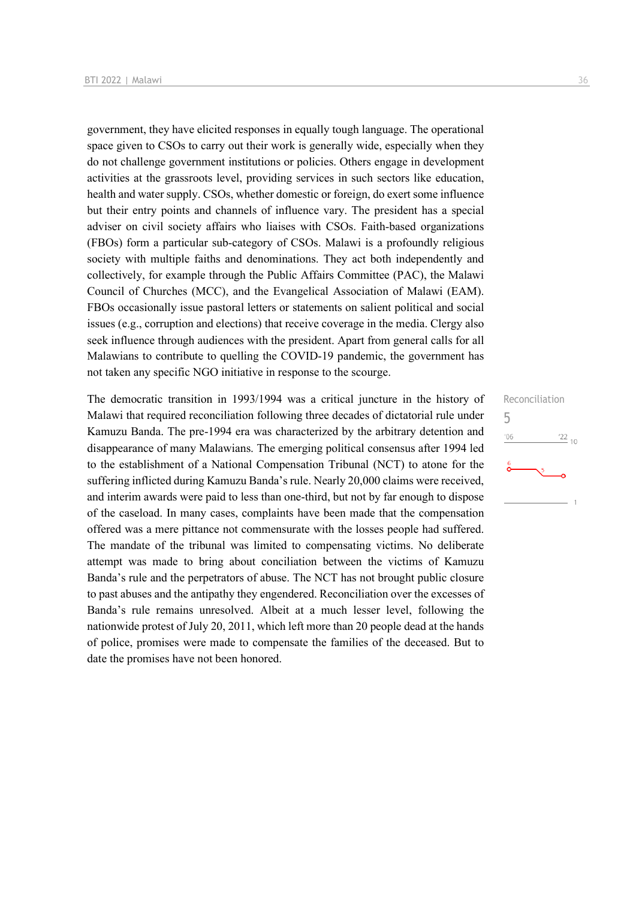government, they have elicited responses in equally tough language. The operational space given to CSOs to carry out their work is generally wide, especially when they do not challenge government institutions or policies. Others engage in development activities at the grassroots level, providing services in such sectors like education, health and water supply. CSOs, whether domestic or foreign, do exert some influence but their entry points and channels of influence vary. The president has a special adviser on civil society affairs who liaises with CSOs. Faith-based organizations (FBOs) form a particular sub-category of CSOs. Malawi is a profoundly religious society with multiple faiths and denominations. They act both independently and collectively, for example through the Public Affairs Committee (PAC), the Malawi Council of Churches (MCC), and the Evangelical Association of Malawi (EAM). FBOs occasionally issue pastoral letters or statements on salient political and social issues (e.g., corruption and elections) that receive coverage in the media. Clergy also seek influence through audiences with the president. Apart from general calls for all Malawians to contribute to quelling the COVID-19 pandemic, the government has not taken any specific NGO initiative in response to the scourge.

The democratic transition in 1993/1994 was a critical juncture in the history of Malawi that required reconciliation following three decades of dictatorial rule under Kamuzu Banda. The pre-1994 era was characterized by the arbitrary detention and disappearance of many Malawians. The emerging political consensus after 1994 led to the establishment of a National Compensation Tribunal (NCT) to atone for the suffering inflicted during Kamuzu Banda's rule. Nearly 20,000 claims were received, and interim awards were paid to less than one-third, but not by far enough to dispose of the caseload. In many cases, complaints have been made that the compensation offered was a mere pittance not commensurate with the losses people had suffered. The mandate of the tribunal was limited to compensating victims. No deliberate attempt was made to bring about conciliation between the victims of Kamuzu Banda's rule and the perpetrators of abuse. The NCT has not brought public closure to past abuses and the antipathy they engendered. Reconciliation over the excesses of Banda's rule remains unresolved. Albeit at a much lesser level, following the nationwide protest of July 20, 2011, which left more than 20 people dead at the hands of police, promises were made to compensate the families of the deceased. But to date the promises have not been honored.

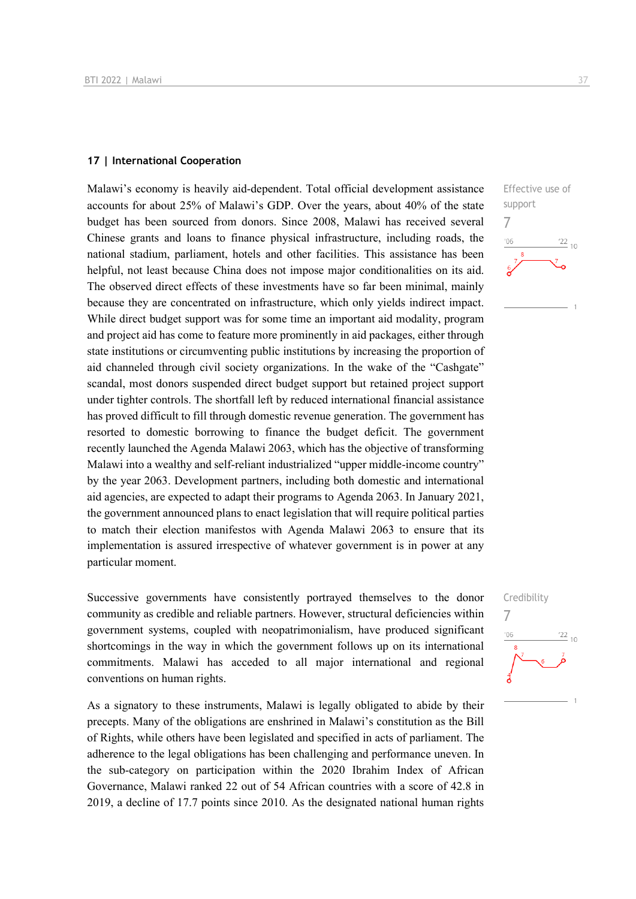#### **17 | International Cooperation**

Malawi's economy is heavily aid-dependent. Total official development assistance accounts for about 25% of Malawi's GDP. Over the years, about 40% of the state budget has been sourced from donors. Since 2008, Malawi has received several Chinese grants and loans to finance physical infrastructure, including roads, the national stadium, parliament, hotels and other facilities. This assistance has been helpful, not least because China does not impose major conditionalities on its aid. The observed direct effects of these investments have so far been minimal, mainly because they are concentrated on infrastructure, which only yields indirect impact. While direct budget support was for some time an important aid modality, program and project aid has come to feature more prominently in aid packages, either through state institutions or circumventing public institutions by increasing the proportion of aid channeled through civil society organizations. In the wake of the "Cashgate" scandal, most donors suspended direct budget support but retained project support under tighter controls. The shortfall left by reduced international financial assistance has proved difficult to fill through domestic revenue generation. The government has resorted to domestic borrowing to finance the budget deficit. The government recently launched the Agenda Malawi 2063, which has the objective of transforming Malawi into a wealthy and self-reliant industrialized "upper middle-income country" by the year 2063. Development partners, including both domestic and international aid agencies, are expected to adapt their programs to Agenda 2063. In January 2021, the government announced plans to enact legislation that will require political parties to match their election manifestos with Agenda Malawi 2063 to ensure that its implementation is assured irrespective of whatever government is in power at any particular moment.

Successive governments have consistently portrayed themselves to the donor community as credible and reliable partners. However, structural deficiencies within government systems, coupled with neopatrimonialism, have produced significant shortcomings in the way in which the government follows up on its international commitments. Malawi has acceded to all major international and regional conventions on human rights.

As a signatory to these instruments, Malawi is legally obligated to abide by their precepts. Many of the obligations are enshrined in Malawi's constitution as the Bill of Rights, while others have been legislated and specified in acts of parliament. The adherence to the legal obligations has been challenging and performance uneven. In the sub-category on participation within the 2020 Ibrahim Index of African Governance, Malawi ranked 22 out of 54 African countries with a score of 42.8 in 2019, a decline of 17.7 points since 2010. As the designated national human rights



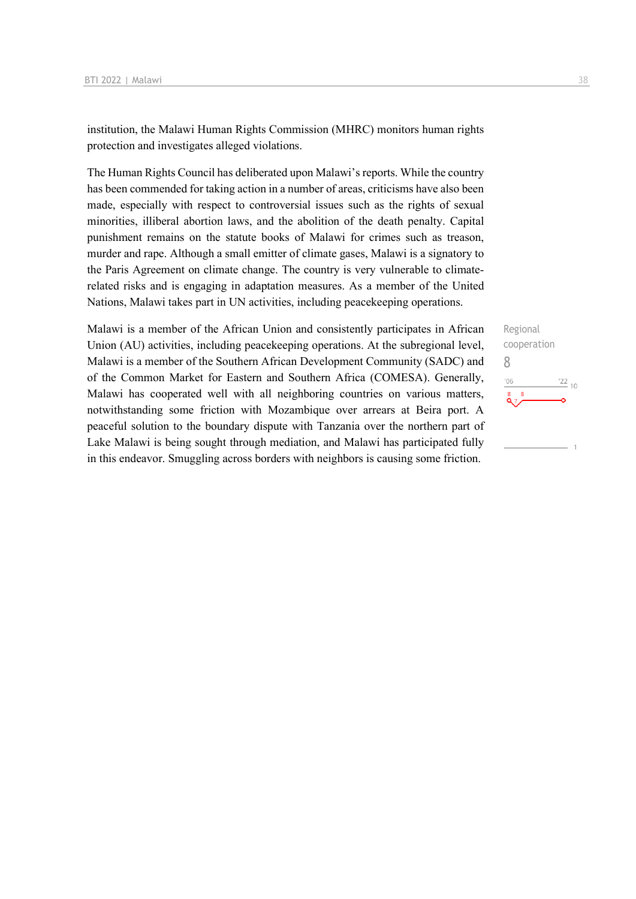institution, the Malawi Human Rights Commission (MHRC) monitors human rights protection and investigates alleged violations.

The Human Rights Council has deliberated upon Malawi's reports. While the country has been commended for taking action in a number of areas, criticisms have also been made, especially with respect to controversial issues such as the rights of sexual minorities, illiberal abortion laws, and the abolition of the death penalty. Capital punishment remains on the statute books of Malawi for crimes such as treason, murder and rape. Although a small emitter of climate gases, Malawi is a signatory to the Paris Agreement on climate change. The country is very vulnerable to climaterelated risks and is engaging in adaptation measures. As a member of the United Nations, Malawi takes part in UN activities, including peacekeeping operations.

Malawi is a member of the African Union and consistently participates in African Union (AU) activities, including peacekeeping operations. At the subregional level, Malawi is a member of the Southern African Development Community (SADC) and of the Common Market for Eastern and Southern Africa (COMESA). Generally, Malawi has cooperated well with all neighboring countries on various matters, notwithstanding some friction with Mozambique over arrears at Beira port. A peaceful solution to the boundary dispute with Tanzania over the northern part of Lake Malawi is being sought through mediation, and Malawi has participated fully in this endeavor. Smuggling across borders with neighbors is causing some friction.

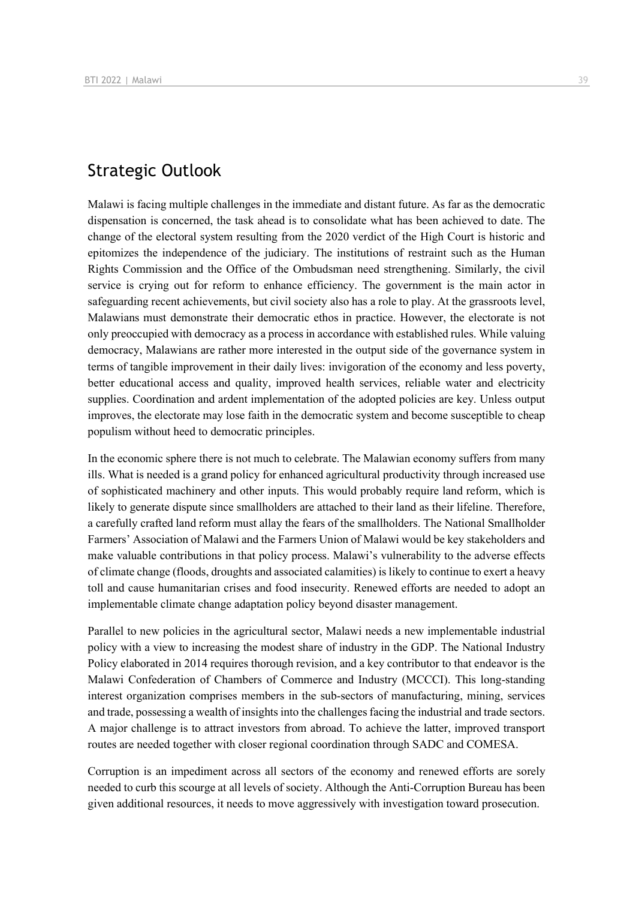# Strategic Outlook

Malawi is facing multiple challenges in the immediate and distant future. As far as the democratic dispensation is concerned, the task ahead is to consolidate what has been achieved to date. The change of the electoral system resulting from the 2020 verdict of the High Court is historic and epitomizes the independence of the judiciary. The institutions of restraint such as the Human Rights Commission and the Office of the Ombudsman need strengthening. Similarly, the civil service is crying out for reform to enhance efficiency. The government is the main actor in safeguarding recent achievements, but civil society also has a role to play. At the grassroots level, Malawians must demonstrate their democratic ethos in practice. However, the electorate is not only preoccupied with democracy as a process in accordance with established rules. While valuing democracy, Malawians are rather more interested in the output side of the governance system in terms of tangible improvement in their daily lives: invigoration of the economy and less poverty, better educational access and quality, improved health services, reliable water and electricity supplies. Coordination and ardent implementation of the adopted policies are key. Unless output improves, the electorate may lose faith in the democratic system and become susceptible to cheap populism without heed to democratic principles.

In the economic sphere there is not much to celebrate. The Malawian economy suffers from many ills. What is needed is a grand policy for enhanced agricultural productivity through increased use of sophisticated machinery and other inputs. This would probably require land reform, which is likely to generate dispute since smallholders are attached to their land as their lifeline. Therefore, a carefully crafted land reform must allay the fears of the smallholders. The National Smallholder Farmers' Association of Malawi and the Farmers Union of Malawi would be key stakeholders and make valuable contributions in that policy process. Malawi's vulnerability to the adverse effects of climate change (floods, droughts and associated calamities) is likely to continue to exert a heavy toll and cause humanitarian crises and food insecurity. Renewed efforts are needed to adopt an implementable climate change adaptation policy beyond disaster management.

Parallel to new policies in the agricultural sector, Malawi needs a new implementable industrial policy with a view to increasing the modest share of industry in the GDP. The National Industry Policy elaborated in 2014 requires thorough revision, and a key contributor to that endeavor is the Malawi Confederation of Chambers of Commerce and Industry (MCCCI). This long-standing interest organization comprises members in the sub-sectors of manufacturing, mining, services and trade, possessing a wealth of insights into the challenges facing the industrial and trade sectors. A major challenge is to attract investors from abroad. To achieve the latter, improved transport routes are needed together with closer regional coordination through SADC and COMESA.

Corruption is an impediment across all sectors of the economy and renewed efforts are sorely needed to curb this scourge at all levels of society. Although the Anti-Corruption Bureau has been given additional resources, it needs to move aggressively with investigation toward prosecution.